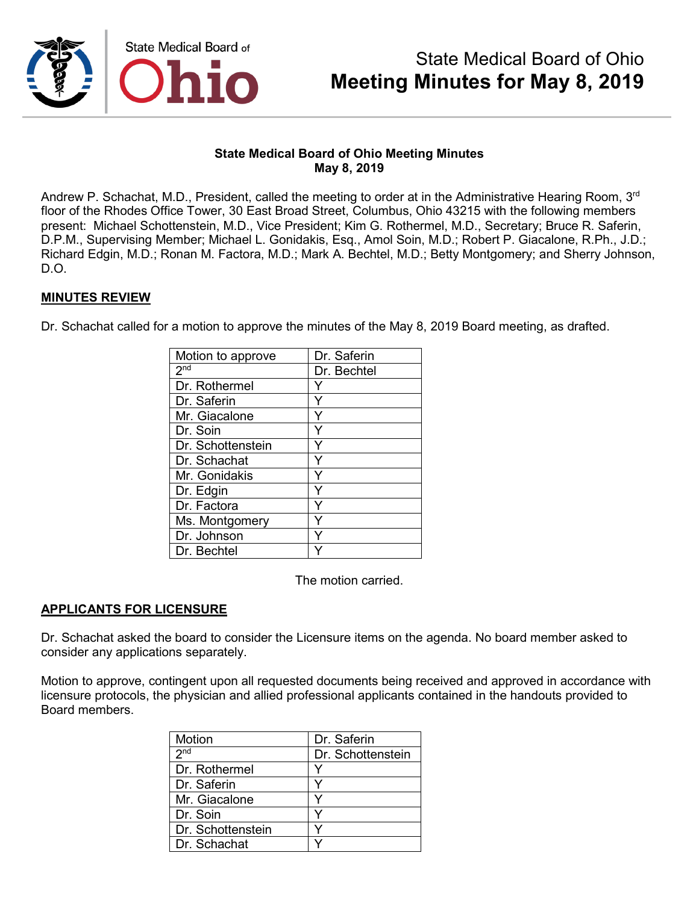

## **State Medical Board of Ohio Meeting Minutes May 8, 2019**

Andrew P. Schachat, M.D., President, called the meeting to order at in the Administrative Hearing Room, 3<sup>rd</sup> floor of the Rhodes Office Tower, 30 East Broad Street, Columbus, Ohio 43215 with the following members present: Michael Schottenstein, M.D., Vice President; Kim G. Rothermel, M.D., Secretary; Bruce R. Saferin, D.P.M., Supervising Member; Michael L. Gonidakis, Esq., Amol Soin, M.D.; Robert P. Giacalone, R.Ph., J.D.; Richard Edgin, M.D.; Ronan M. Factora, M.D.; Mark A. Bechtel, M.D.; Betty Montgomery; and Sherry Johnson, D.O.

## **MINUTES REVIEW**

Dr. Schachat called for a motion to approve the minutes of the May 8, 2019 Board meeting, as drafted.

| Motion to approve | Dr. Saferin |
|-------------------|-------------|
| 2 <sup>nd</sup>   | Dr. Bechtel |
| Dr. Rothermel     |             |
| Dr. Saferin       | Y           |
| Mr. Giacalone     | Y           |
| Dr. Soin          |             |
| Dr. Schottenstein | Y           |
| Dr. Schachat      |             |
| Mr. Gonidakis     |             |
| Dr. Edgin         | ٧           |
| Dr. Factora       |             |
| Ms. Montgomery    |             |
| Dr. Johnson       |             |
| Dr. Bechtel       |             |

The motion carried.

# **APPLICANTS FOR LICENSURE**

Dr. Schachat asked the board to consider the Licensure items on the agenda. No board member asked to consider any applications separately.

Motion to approve, contingent upon all requested documents being received and approved in accordance with licensure protocols, the physician and allied professional applicants contained in the handouts provided to Board members.

| Motion            | Dr. Saferin       |
|-------------------|-------------------|
| 2 <sub>nd</sub>   | Dr. Schottenstein |
| Dr. Rothermel     |                   |
| Dr. Saferin       | v                 |
| Mr. Giacalone     |                   |
| Dr. Soin          |                   |
| Dr. Schottenstein |                   |
| Dr. Schachat      |                   |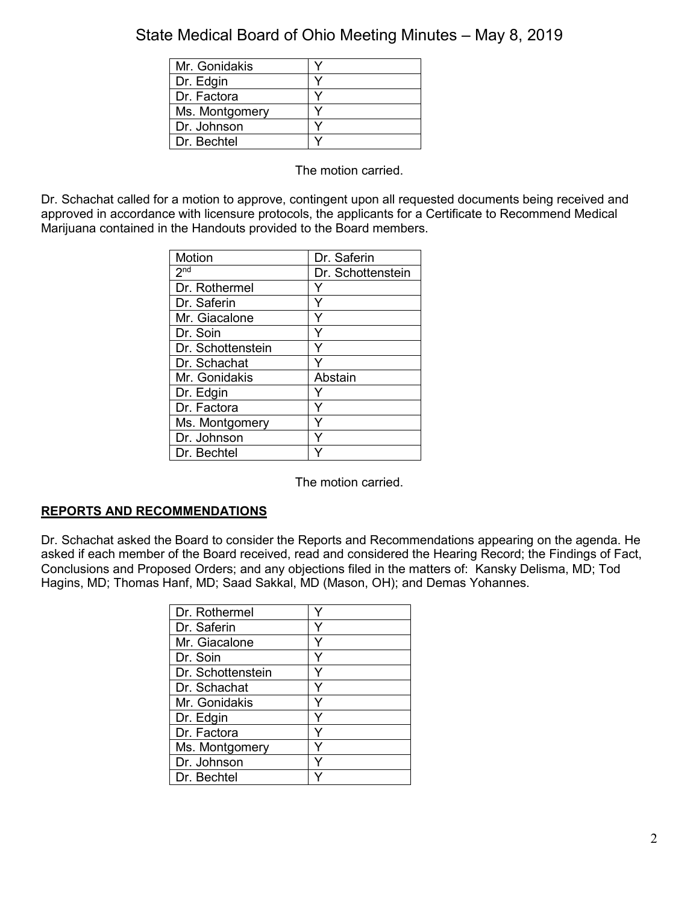| Mr. Gonidakis  |  |
|----------------|--|
| Dr. Edgin      |  |
| Dr. Factora    |  |
| Ms. Montgomery |  |
| Dr. Johnson    |  |
| Dr. Bechtel    |  |

The motion carried.

Dr. Schachat called for a motion to approve, contingent upon all requested documents being received and approved in accordance with licensure protocols, the applicants for a Certificate to Recommend Medical Marijuana contained in the Handouts provided to the Board members.

| Motion            | Dr. Saferin       |
|-------------------|-------------------|
| 2 <sup>nd</sup>   | Dr. Schottenstein |
| Dr. Rothermel     |                   |
| Dr. Saferin       | Y                 |
| Mr. Giacalone     | Y                 |
| Dr. Soin          | Y                 |
| Dr. Schottenstein | Υ                 |
| Dr. Schachat      |                   |
| Mr. Gonidakis     | Abstain           |
| Dr. Edgin         |                   |
| Dr. Factora       |                   |
| Ms. Montgomery    | ٧                 |
| Dr. Johnson       |                   |
| Dr. Bechtel       |                   |

The motion carried.

# **REPORTS AND RECOMMENDATIONS**

Dr. Schachat asked the Board to consider the Reports and Recommendations appearing on the agenda. He asked if each member of the Board received, read and considered the Hearing Record; the Findings of Fact, Conclusions and Proposed Orders; and any objections filed in the matters of: Kansky Delisma, MD; Tod Hagins, MD; Thomas Hanf, MD; Saad Sakkal, MD (Mason, OH); and Demas Yohannes.

| Dr. Rothermel     |  |
|-------------------|--|
| Dr. Saferin       |  |
| Mr. Giacalone     |  |
| Dr. Soin          |  |
| Dr. Schottenstein |  |
| Dr. Schachat      |  |
| Mr. Gonidakis     |  |
| Dr. Edgin         |  |
| Dr. Factora       |  |
| Ms. Montgomery    |  |
| Dr. Johnson       |  |
| Dr. Bechtel       |  |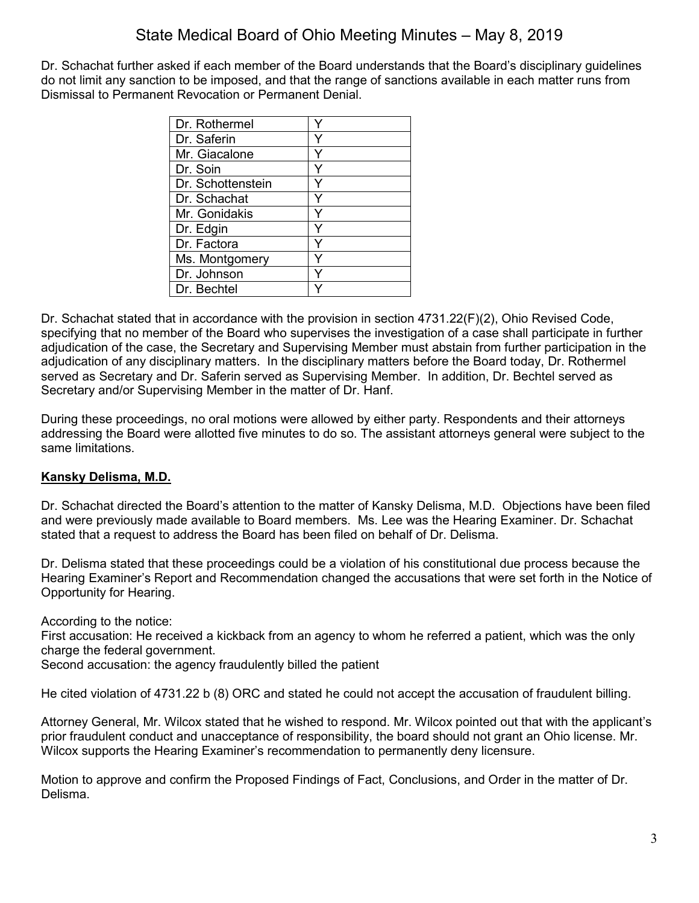Dr. Schachat further asked if each member of the Board understands that the Board's disciplinary guidelines do not limit any sanction to be imposed, and that the range of sanctions available in each matter runs from Dismissal to Permanent Revocation or Permanent Denial.

| Dr. Rothermel     |  |
|-------------------|--|
| Dr. Saferin       |  |
| Mr. Giacalone     |  |
| Dr. Soin          |  |
| Dr. Schottenstein |  |
| Dr. Schachat      |  |
| Mr. Gonidakis     |  |
| Dr. Edgin         |  |
| Dr. Factora       |  |
| Ms. Montgomery    |  |
| Dr. Johnson       |  |
| Dr. Bechtel       |  |

Dr. Schachat stated that in accordance with the provision in section 4731.22(F)(2), Ohio Revised Code, specifying that no member of the Board who supervises the investigation of a case shall participate in further adjudication of the case, the Secretary and Supervising Member must abstain from further participation in the adjudication of any disciplinary matters. In the disciplinary matters before the Board today, Dr. Rothermel served as Secretary and Dr. Saferin served as Supervising Member. In addition, Dr. Bechtel served as Secretary and/or Supervising Member in the matter of Dr. Hanf.

During these proceedings, no oral motions were allowed by either party. Respondents and their attorneys addressing the Board were allotted five minutes to do so. The assistant attorneys general were subject to the same limitations.

# **Kansky Delisma, M.D.**

Dr. Schachat directed the Board's attention to the matter of Kansky Delisma, M.D. Objections have been filed and were previously made available to Board members. Ms. Lee was the Hearing Examiner. Dr. Schachat stated that a request to address the Board has been filed on behalf of Dr. Delisma.

Dr. Delisma stated that these proceedings could be a violation of his constitutional due process because the Hearing Examiner's Report and Recommendation changed the accusations that were set forth in the Notice of Opportunity for Hearing.

According to the notice:

First accusation: He received a kickback from an agency to whom he referred a patient, which was the only charge the federal government.

Second accusation: the agency fraudulently billed the patient

He cited violation of 4731.22 b (8) ORC and stated he could not accept the accusation of fraudulent billing.

Attorney General, Mr. Wilcox stated that he wished to respond. Mr. Wilcox pointed out that with the applicant's prior fraudulent conduct and unacceptance of responsibility, the board should not grant an Ohio license. Mr. Wilcox supports the Hearing Examiner's recommendation to permanently deny licensure.

Motion to approve and confirm the Proposed Findings of Fact, Conclusions, and Order in the matter of Dr. Delisma.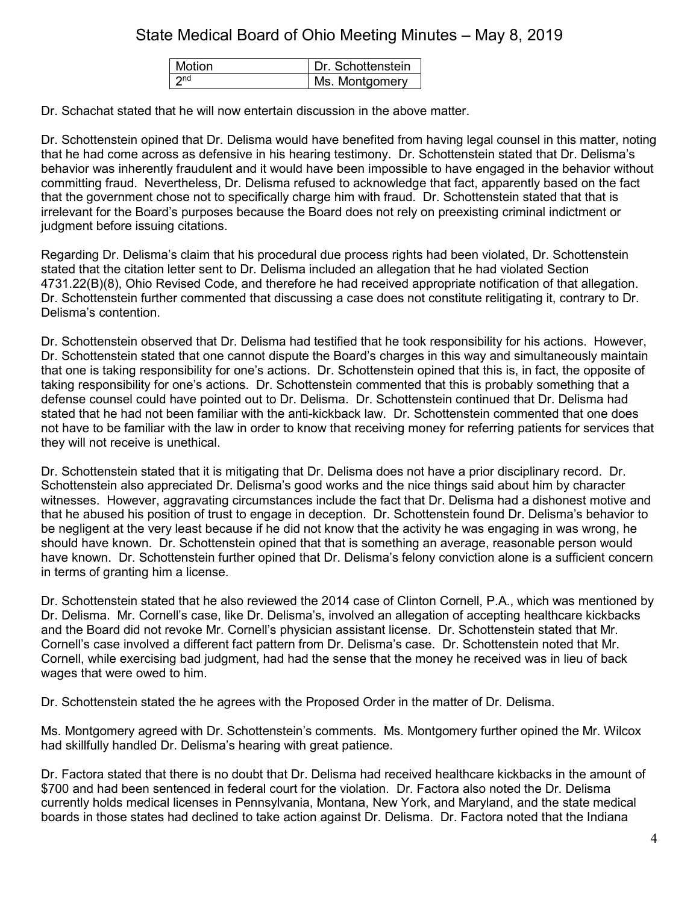| Motion                       | Dr. Schottenstein |
|------------------------------|-------------------|
| $\overline{\phantom{a}}$ 2nd | Ms. Montgomery    |

Dr. Schachat stated that he will now entertain discussion in the above matter.

Dr. Schottenstein opined that Dr. Delisma would have benefited from having legal counsel in this matter, noting that he had come across as defensive in his hearing testimony. Dr. Schottenstein stated that Dr. Delisma's behavior was inherently fraudulent and it would have been impossible to have engaged in the behavior without committing fraud. Nevertheless, Dr. Delisma refused to acknowledge that fact, apparently based on the fact that the government chose not to specifically charge him with fraud. Dr. Schottenstein stated that that is irrelevant for the Board's purposes because the Board does not rely on preexisting criminal indictment or judgment before issuing citations.

Regarding Dr. Delisma's claim that his procedural due process rights had been violated, Dr. Schottenstein stated that the citation letter sent to Dr. Delisma included an allegation that he had violated Section 4731.22(B)(8), Ohio Revised Code, and therefore he had received appropriate notification of that allegation. Dr. Schottenstein further commented that discussing a case does not constitute relitigating it, contrary to Dr. Delisma's contention.

Dr. Schottenstein observed that Dr. Delisma had testified that he took responsibility for his actions. However, Dr. Schottenstein stated that one cannot dispute the Board's charges in this way and simultaneously maintain that one is taking responsibility for one's actions. Dr. Schottenstein opined that this is, in fact, the opposite of taking responsibility for one's actions. Dr. Schottenstein commented that this is probably something that a defense counsel could have pointed out to Dr. Delisma. Dr. Schottenstein continued that Dr. Delisma had stated that he had not been familiar with the anti-kickback law. Dr. Schottenstein commented that one does not have to be familiar with the law in order to know that receiving money for referring patients for services that they will not receive is unethical.

Dr. Schottenstein stated that it is mitigating that Dr. Delisma does not have a prior disciplinary record. Dr. Schottenstein also appreciated Dr. Delisma's good works and the nice things said about him by character witnesses. However, aggravating circumstances include the fact that Dr. Delisma had a dishonest motive and that he abused his position of trust to engage in deception. Dr. Schottenstein found Dr. Delisma's behavior to be negligent at the very least because if he did not know that the activity he was engaging in was wrong, he should have known. Dr. Schottenstein opined that that is something an average, reasonable person would have known. Dr. Schottenstein further opined that Dr. Delisma's felony conviction alone is a sufficient concern in terms of granting him a license.

Dr. Schottenstein stated that he also reviewed the 2014 case of Clinton Cornell, P.A., which was mentioned by Dr. Delisma. Mr. Cornell's case, like Dr. Delisma's, involved an allegation of accepting healthcare kickbacks and the Board did not revoke Mr. Cornell's physician assistant license. Dr. Schottenstein stated that Mr. Cornell's case involved a different fact pattern from Dr. Delisma's case. Dr. Schottenstein noted that Mr. Cornell, while exercising bad judgment, had had the sense that the money he received was in lieu of back wages that were owed to him.

Dr. Schottenstein stated the he agrees with the Proposed Order in the matter of Dr. Delisma.

Ms. Montgomery agreed with Dr. Schottenstein's comments. Ms. Montgomery further opined the Mr. Wilcox had skillfully handled Dr. Delisma's hearing with great patience.

Dr. Factora stated that there is no doubt that Dr. Delisma had received healthcare kickbacks in the amount of \$700 and had been sentenced in federal court for the violation. Dr. Factora also noted the Dr. Delisma currently holds medical licenses in Pennsylvania, Montana, New York, and Maryland, and the state medical boards in those states had declined to take action against Dr. Delisma. Dr. Factora noted that the Indiana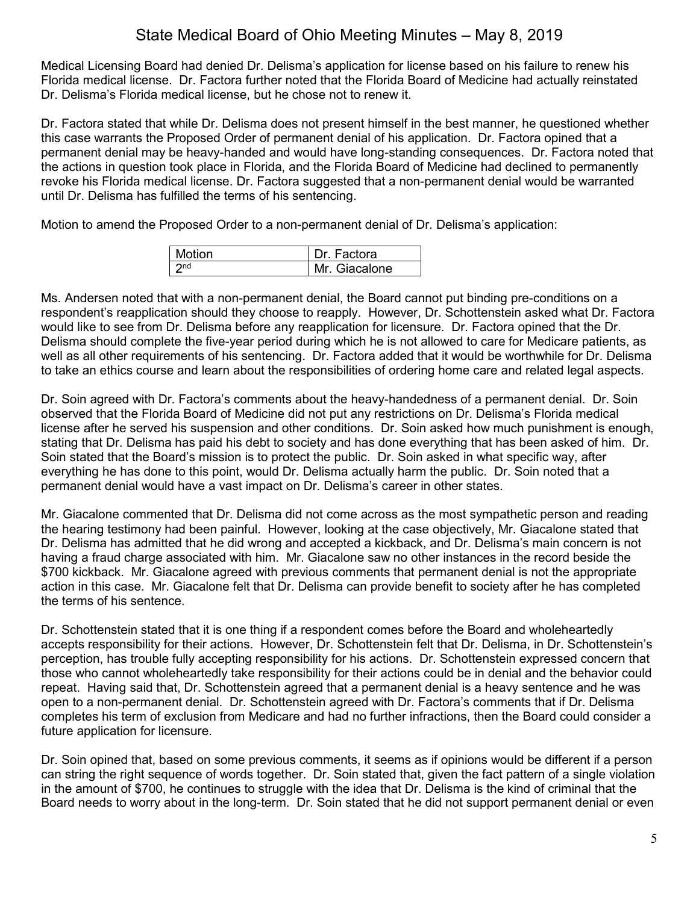Medical Licensing Board had denied Dr. Delisma's application for license based on his failure to renew his Florida medical license. Dr. Factora further noted that the Florida Board of Medicine had actually reinstated Dr. Delisma's Florida medical license, but he chose not to renew it.

Dr. Factora stated that while Dr. Delisma does not present himself in the best manner, he questioned whether this case warrants the Proposed Order of permanent denial of his application. Dr. Factora opined that a permanent denial may be heavy-handed and would have long-standing consequences. Dr. Factora noted that the actions in question took place in Florida, and the Florida Board of Medicine had declined to permanently revoke his Florida medical license. Dr. Factora suggested that a non-permanent denial would be warranted until Dr. Delisma has fulfilled the terms of his sentencing.

Motion to amend the Proposed Order to a non-permanent denial of Dr. Delisma's application:

| <b>Motion</b> | Dr. Factora   |
|---------------|---------------|
|               | Mr. Giacalone |

Ms. Andersen noted that with a non-permanent denial, the Board cannot put binding pre-conditions on a respondent's reapplication should they choose to reapply. However, Dr. Schottenstein asked what Dr. Factora would like to see from Dr. Delisma before any reapplication for licensure. Dr. Factora opined that the Dr. Delisma should complete the five-year period during which he is not allowed to care for Medicare patients, as well as all other requirements of his sentencing. Dr. Factora added that it would be worthwhile for Dr. Delisma to take an ethics course and learn about the responsibilities of ordering home care and related legal aspects.

Dr. Soin agreed with Dr. Factora's comments about the heavy-handedness of a permanent denial. Dr. Soin observed that the Florida Board of Medicine did not put any restrictions on Dr. Delisma's Florida medical license after he served his suspension and other conditions. Dr. Soin asked how much punishment is enough, stating that Dr. Delisma has paid his debt to society and has done everything that has been asked of him. Dr. Soin stated that the Board's mission is to protect the public. Dr. Soin asked in what specific way, after everything he has done to this point, would Dr. Delisma actually harm the public. Dr. Soin noted that a permanent denial would have a vast impact on Dr. Delisma's career in other states.

Mr. Giacalone commented that Dr. Delisma did not come across as the most sympathetic person and reading the hearing testimony had been painful. However, looking at the case objectively, Mr. Giacalone stated that Dr. Delisma has admitted that he did wrong and accepted a kickback, and Dr. Delisma's main concern is not having a fraud charge associated with him. Mr. Giacalone saw no other instances in the record beside the \$700 kickback. Mr. Giacalone agreed with previous comments that permanent denial is not the appropriate action in this case. Mr. Giacalone felt that Dr. Delisma can provide benefit to society after he has completed the terms of his sentence.

Dr. Schottenstein stated that it is one thing if a respondent comes before the Board and wholeheartedly accepts responsibility for their actions. However, Dr. Schottenstein felt that Dr. Delisma, in Dr. Schottenstein's perception, has trouble fully accepting responsibility for his actions. Dr. Schottenstein expressed concern that those who cannot wholeheartedly take responsibility for their actions could be in denial and the behavior could repeat. Having said that, Dr. Schottenstein agreed that a permanent denial is a heavy sentence and he was open to a non-permanent denial. Dr. Schottenstein agreed with Dr. Factora's comments that if Dr. Delisma completes his term of exclusion from Medicare and had no further infractions, then the Board could consider a future application for licensure.

Dr. Soin opined that, based on some previous comments, it seems as if opinions would be different if a person can string the right sequence of words together. Dr. Soin stated that, given the fact pattern of a single violation in the amount of \$700, he continues to struggle with the idea that Dr. Delisma is the kind of criminal that the Board needs to worry about in the long-term. Dr. Soin stated that he did not support permanent denial or even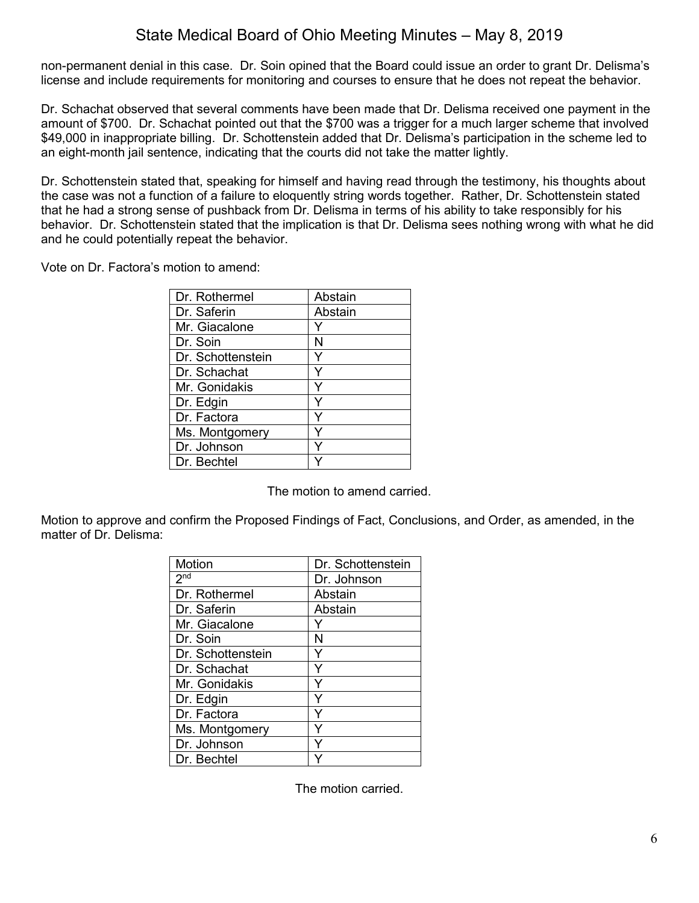non-permanent denial in this case. Dr. Soin opined that the Board could issue an order to grant Dr. Delisma's license and include requirements for monitoring and courses to ensure that he does not repeat the behavior.

Dr. Schachat observed that several comments have been made that Dr. Delisma received one payment in the amount of \$700. Dr. Schachat pointed out that the \$700 was a trigger for a much larger scheme that involved \$49,000 in inappropriate billing. Dr. Schottenstein added that Dr. Delisma's participation in the scheme led to an eight-month jail sentence, indicating that the courts did not take the matter lightly.

Dr. Schottenstein stated that, speaking for himself and having read through the testimony, his thoughts about the case was not a function of a failure to eloquently string words together. Rather, Dr. Schottenstein stated that he had a strong sense of pushback from Dr. Delisma in terms of his ability to take responsibly for his behavior. Dr. Schottenstein stated that the implication is that Dr. Delisma sees nothing wrong with what he did and he could potentially repeat the behavior.

Vote on Dr. Factora's motion to amend:

| Dr. Rothermel     | Abstain |
|-------------------|---------|
| Dr. Saferin       | Abstain |
| Mr. Giacalone     |         |
| Dr. Soin          | N       |
| Dr. Schottenstein |         |
| Dr. Schachat      |         |
| Mr. Gonidakis     |         |
| Dr. Edgin         |         |
| Dr. Factora       |         |
| Ms. Montgomery    |         |
| Dr. Johnson       | Y       |
| Dr. Bechtel       |         |

The motion to amend carried.

Motion to approve and confirm the Proposed Findings of Fact, Conclusions, and Order, as amended, in the matter of Dr. Delisma:

| <b>Motion</b>     | Dr. Schottenstein |
|-------------------|-------------------|
| 2 <sub>nd</sub>   | Dr. Johnson       |
| Dr. Rothermel     | Abstain           |
| Dr. Saferin       | Abstain           |
| Mr. Giacalone     |                   |
| Dr. Soin          | N                 |
| Dr. Schottenstein | Y                 |
| Dr. Schachat      | Ý                 |
| Mr. Gonidakis     |                   |
| Dr. Edgin         | Y                 |
| Dr. Factora       | Y                 |
| Ms. Montgomery    |                   |
| Dr. Johnson       | ٧                 |
| Dr. Bechtel       |                   |

The motion carried.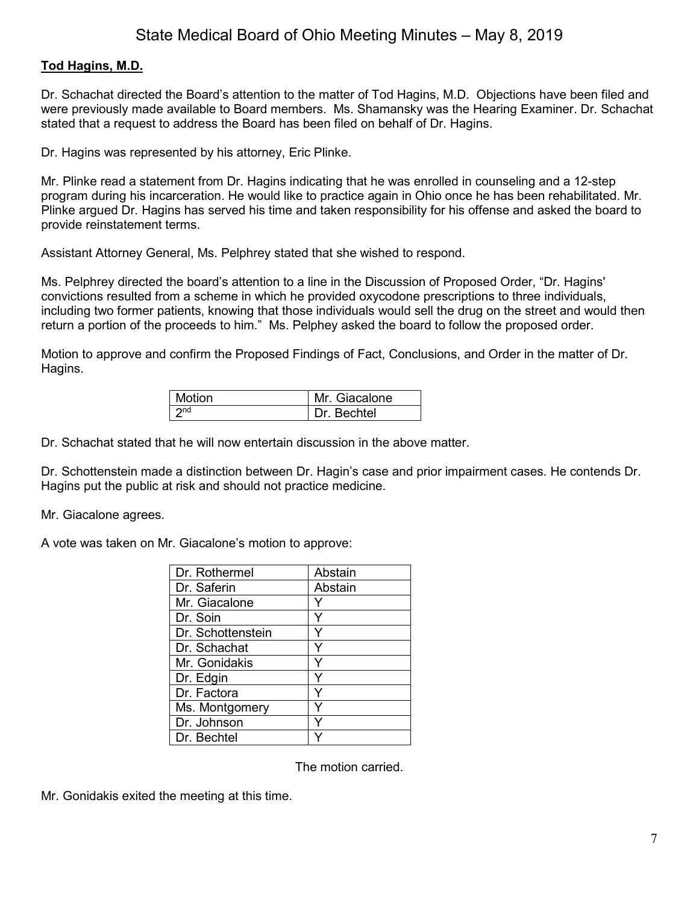## **Tod Hagins, M.D.**

Dr. Schachat directed the Board's attention to the matter of Tod Hagins, M.D. Objections have been filed and were previously made available to Board members. Ms. Shamansky was the Hearing Examiner. Dr. Schachat stated that a request to address the Board has been filed on behalf of Dr. Hagins.

Dr. Hagins was represented by his attorney, Eric Plinke.

Mr. Plinke read a statement from Dr. Hagins indicating that he was enrolled in counseling and a 12-step program during his incarceration. He would like to practice again in Ohio once he has been rehabilitated. Mr. Plinke argued Dr. Hagins has served his time and taken responsibility for his offense and asked the board to provide reinstatement terms.

Assistant Attorney General, Ms. Pelphrey stated that she wished to respond.

Ms. Pelphrey directed the board's attention to a line in the Discussion of Proposed Order, "Dr. Hagins' convictions resulted from a scheme in which he provided oxycodone prescriptions to three individuals, including two former patients, knowing that those individuals would sell the drug on the street and would then return a portion of the proceeds to him." Ms. Pelphey asked the board to follow the proposed order.

Motion to approve and confirm the Proposed Findings of Fact, Conclusions, and Order in the matter of Dr. Hagins.

| Motion          | Mr. Giacalone |
|-----------------|---------------|
| 2 <sub>nd</sub> | Dr. Bechtel   |

Dr. Schachat stated that he will now entertain discussion in the above matter.

Dr. Schottenstein made a distinction between Dr. Hagin's case and prior impairment cases. He contends Dr. Hagins put the public at risk and should not practice medicine.

Mr. Giacalone agrees.

A vote was taken on Mr. Giacalone's motion to approve:

| Dr. Rothermel     | Abstain |
|-------------------|---------|
| Dr. Saferin       | Abstain |
| Mr. Giacalone     |         |
| Dr. Soin          | Y       |
| Dr. Schottenstein |         |
| Dr. Schachat      |         |
| Mr. Gonidakis     |         |
| Dr. Edgin         | Y       |
| Dr. Factora       |         |
| Ms. Montgomery    | Y       |
| Dr. Johnson       | Y       |
| Dr. Bechtel       |         |

The motion carried.

Mr. Gonidakis exited the meeting at this time.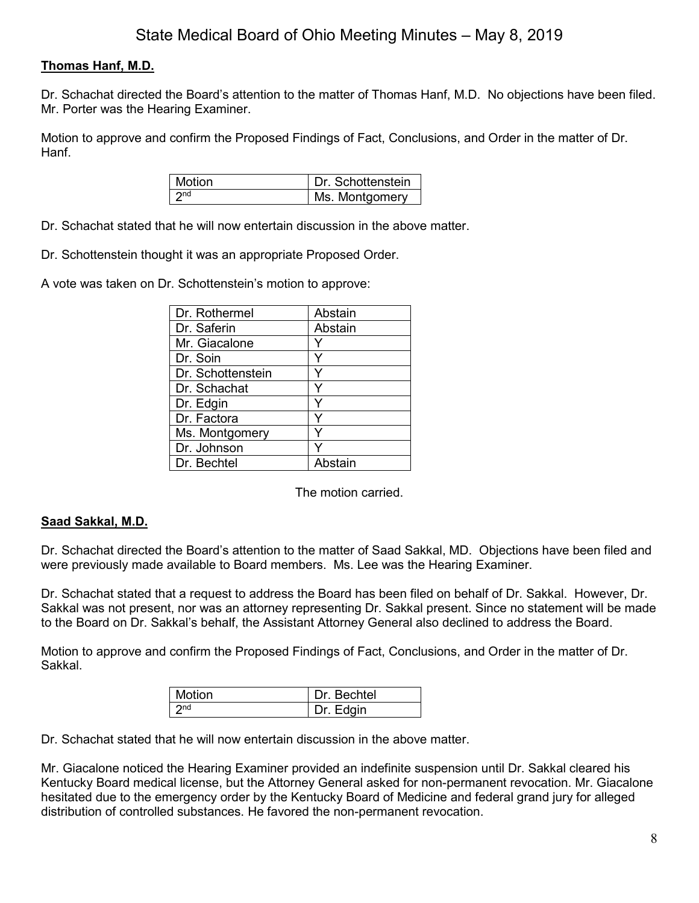# **Thomas Hanf, M.D.**

Dr. Schachat directed the Board's attention to the matter of Thomas Hanf, M.D. No objections have been filed. Mr. Porter was the Hearing Examiner.

Motion to approve and confirm the Proposed Findings of Fact, Conclusions, and Order in the matter of Dr. Hanf.

| Motion | Dr. Schottenstein |
|--------|-------------------|
| 2nd    | Ms. Montgomery    |

Dr. Schachat stated that he will now entertain discussion in the above matter.

Dr. Schottenstein thought it was an appropriate Proposed Order.

A vote was taken on Dr. Schottenstein's motion to approve:

| Dr. Rothermel     | Abstain |
|-------------------|---------|
| Dr. Saferin       | Abstain |
| Mr. Giacalone     | Y       |
| Dr. Soin          | Y       |
| Dr. Schottenstein |         |
| Dr. Schachat      | Y       |
| Dr. Edgin         | ٧       |
| Dr. Factora       |         |
| Ms. Montgomery    |         |
| Dr. Johnson       |         |
| Dr. Bechtel       | Abstain |

The motion carried.

## **Saad Sakkal, M.D.**

Dr. Schachat directed the Board's attention to the matter of Saad Sakkal, MD. Objections have been filed and were previously made available to Board members. Ms. Lee was the Hearing Examiner.

Dr. Schachat stated that a request to address the Board has been filed on behalf of Dr. Sakkal. However, Dr. Sakkal was not present, nor was an attorney representing Dr. Sakkal present. Since no statement will be made to the Board on Dr. Sakkal's behalf, the Assistant Attorney General also declined to address the Board.

Motion to approve and confirm the Proposed Findings of Fact, Conclusions, and Order in the matter of Dr. Sakkal.

| Motion | Dr. Bechtel |
|--------|-------------|
| ንnd    | Dr. Edgin   |

Dr. Schachat stated that he will now entertain discussion in the above matter.

Mr. Giacalone noticed the Hearing Examiner provided an indefinite suspension until Dr. Sakkal cleared his Kentucky Board medical license, but the Attorney General asked for non-permanent revocation. Mr. Giacalone hesitated due to the emergency order by the Kentucky Board of Medicine and federal grand jury for alleged distribution of controlled substances. He favored the non-permanent revocation.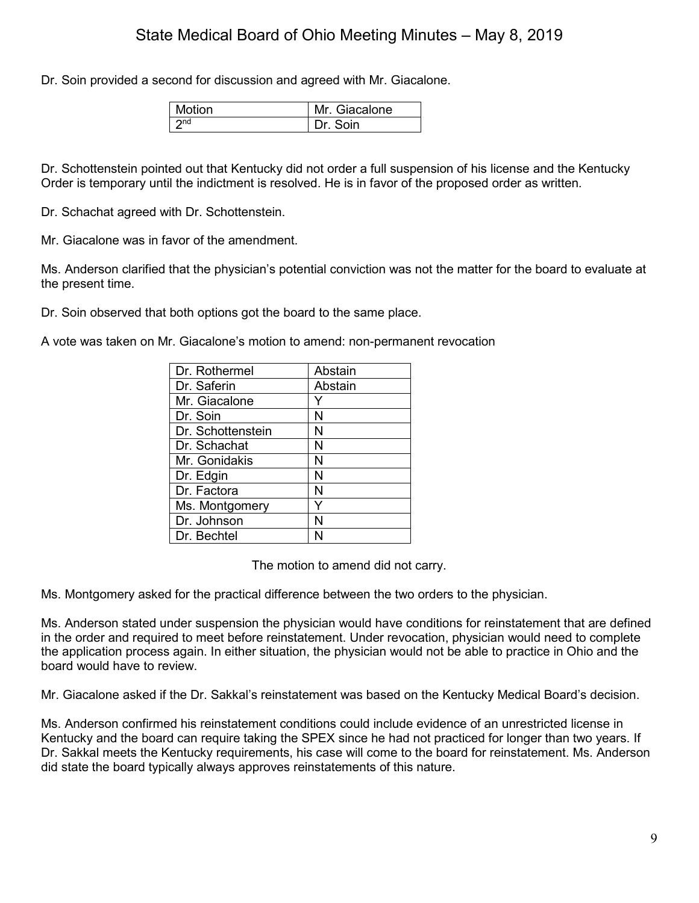Dr. Soin provided a second for discussion and agreed with Mr. Giacalone.

| l Motion | Mr. Giacalone |
|----------|---------------|
| l ond    | Dr Soin       |

Dr. Schottenstein pointed out that Kentucky did not order a full suspension of his license and the Kentucky Order is temporary until the indictment is resolved. He is in favor of the proposed order as written.

Dr. Schachat agreed with Dr. Schottenstein.

Mr. Giacalone was in favor of the amendment.

Ms. Anderson clarified that the physician's potential conviction was not the matter for the board to evaluate at the present time.

Dr. Soin observed that both options got the board to the same place.

A vote was taken on Mr. Giacalone's motion to amend: non-permanent revocation

| Dr. Rothermel     | Abstain |
|-------------------|---------|
| Dr. Saferin       | Abstain |
| Mr. Giacalone     |         |
| Dr. Soin          | N       |
| Dr. Schottenstein | N       |
| Dr. Schachat      | N       |
| Mr. Gonidakis     | N       |
| Dr. Edgin         | N       |
| Dr. Factora       | N       |
| Ms. Montgomery    |         |
| Dr. Johnson       | N       |
| Dr. Bechtel       |         |

The motion to amend did not carry.

Ms. Montgomery asked for the practical difference between the two orders to the physician.

Ms. Anderson stated under suspension the physician would have conditions for reinstatement that are defined in the order and required to meet before reinstatement. Under revocation, physician would need to complete the application process again. In either situation, the physician would not be able to practice in Ohio and the board would have to review.

Mr. Giacalone asked if the Dr. Sakkal's reinstatement was based on the Kentucky Medical Board's decision.

Ms. Anderson confirmed his reinstatement conditions could include evidence of an unrestricted license in Kentucky and the board can require taking the SPEX since he had not practiced for longer than two years. If Dr. Sakkal meets the Kentucky requirements, his case will come to the board for reinstatement. Ms. Anderson did state the board typically always approves reinstatements of this nature.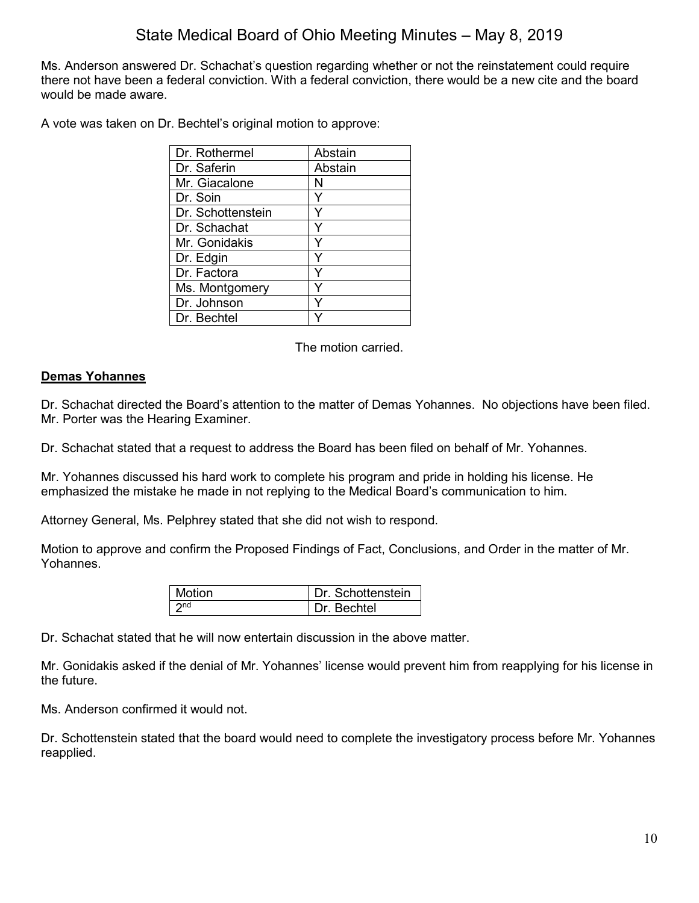Ms. Anderson answered Dr. Schachat's question regarding whether or not the reinstatement could require there not have been a federal conviction. With a federal conviction, there would be a new cite and the board would be made aware.

A vote was taken on Dr. Bechtel's original motion to approve:

| Dr. Rothermel     | Abstain |
|-------------------|---------|
| Dr. Saferin       | Abstain |
| Mr. Giacalone     | N       |
| Dr. Soin          | Y       |
| Dr. Schottenstein |         |
| Dr. Schachat      | ٧       |
| Mr. Gonidakis     | ٧       |
| Dr. Edgin         | ٧       |
| Dr. Factora       |         |
| Ms. Montgomery    |         |
| Dr. Johnson       |         |
| Dr. Bechtel       |         |

The motion carried.

## **Demas Yohannes**

Dr. Schachat directed the Board's attention to the matter of Demas Yohannes. No objections have been filed. Mr. Porter was the Hearing Examiner.

Dr. Schachat stated that a request to address the Board has been filed on behalf of Mr. Yohannes.

Mr. Yohannes discussed his hard work to complete his program and pride in holding his license. He emphasized the mistake he made in not replying to the Medical Board's communication to him.

Attorney General, Ms. Pelphrey stated that she did not wish to respond.

Motion to approve and confirm the Proposed Findings of Fact, Conclusions, and Order in the matter of Mr. Yohannes.

| Motion | Dr. Schottenstein |
|--------|-------------------|
|        | Dr Bechtel        |

Dr. Schachat stated that he will now entertain discussion in the above matter.

Mr. Gonidakis asked if the denial of Mr. Yohannes' license would prevent him from reapplying for his license in the future.

Ms. Anderson confirmed it would not.

Dr. Schottenstein stated that the board would need to complete the investigatory process before Mr. Yohannes reapplied.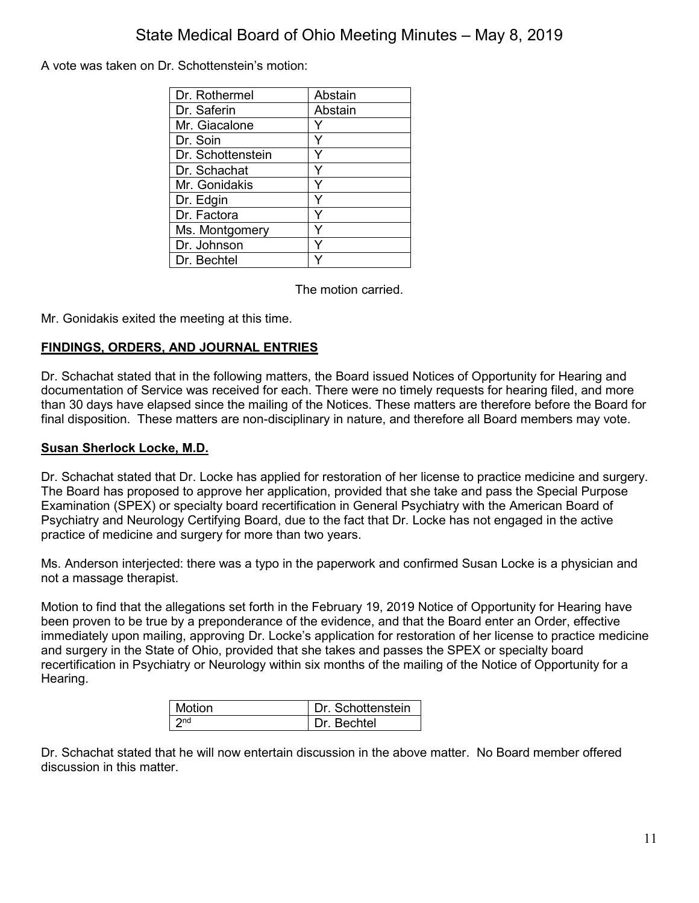A vote was taken on Dr. Schottenstein's motion:

| Dr. Rothermel     | Abstain |
|-------------------|---------|
| Dr. Saferin       | Abstain |
| Mr. Giacalone     |         |
| Dr. Soin          | Y       |
| Dr. Schottenstein | Y       |
| Dr. Schachat      | Y       |
| Mr. Gonidakis     | Y       |
| Dr. Edgin         | Y       |
| Dr. Factora       | Y       |
| Ms. Montgomery    | Y       |
| Dr. Johnson       | Y       |
| Dr. Bechtel       |         |

The motion carried.

Mr. Gonidakis exited the meeting at this time.

## **FINDINGS, ORDERS, AND JOURNAL ENTRIES**

Dr. Schachat stated that in the following matters, the Board issued Notices of Opportunity for Hearing and documentation of Service was received for each. There were no timely requests for hearing filed, and more than 30 days have elapsed since the mailing of the Notices. These matters are therefore before the Board for final disposition. These matters are non-disciplinary in nature, and therefore all Board members may vote.

## **Susan Sherlock Locke, M.D.**

Dr. Schachat stated that Dr. Locke has applied for restoration of her license to practice medicine and surgery. The Board has proposed to approve her application, provided that she take and pass the Special Purpose Examination (SPEX) or specialty board recertification in General Psychiatry with the American Board of Psychiatry and Neurology Certifying Board, due to the fact that Dr. Locke has not engaged in the active practice of medicine and surgery for more than two years.

Ms. Anderson interjected: there was a typo in the paperwork and confirmed Susan Locke is a physician and not a massage therapist.

Motion to find that the allegations set forth in the February 19, 2019 Notice of Opportunity for Hearing have been proven to be true by a preponderance of the evidence, and that the Board enter an Order, effective immediately upon mailing, approving Dr. Locke's application for restoration of her license to practice medicine and surgery in the State of Ohio, provided that she takes and passes the SPEX or specialty board recertification in Psychiatry or Neurology within six months of the mailing of the Notice of Opportunity for a Hearing.

| Motion                       | Dr. Schottenstein |
|------------------------------|-------------------|
| $\overline{\phantom{a}}$ 2nd | Dr Bechtel        |

Dr. Schachat stated that he will now entertain discussion in the above matter. No Board member offered discussion in this matter.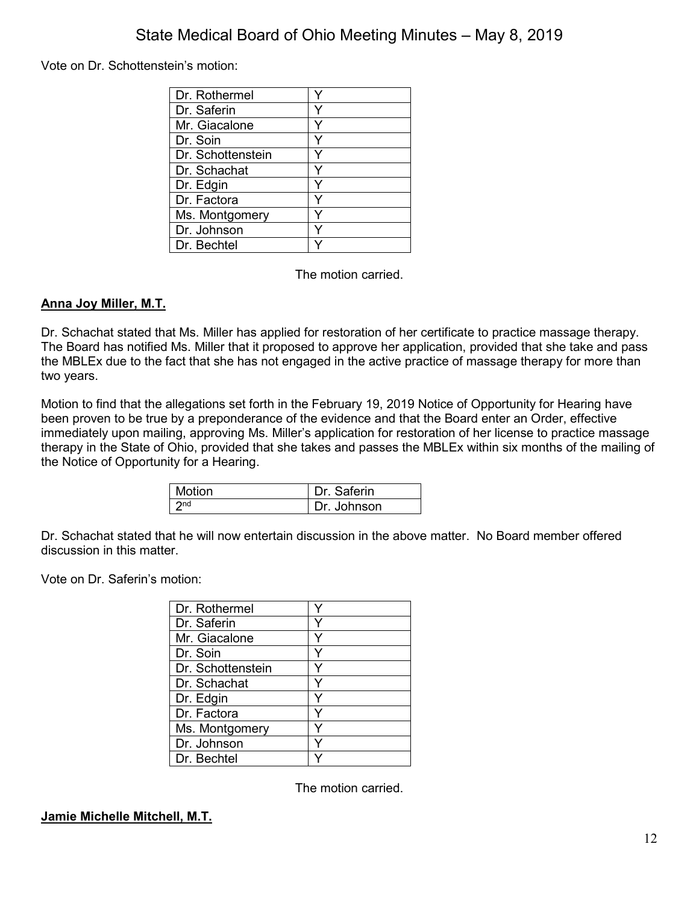Vote on Dr. Schottenstein's motion:

| Dr. Rothermel     |  |
|-------------------|--|
| Dr. Saferin       |  |
| Mr. Giacalone     |  |
| Dr. Soin          |  |
| Dr. Schottenstein |  |
| Dr. Schachat      |  |
| Dr. Edgin         |  |
| Dr. Factora       |  |
| Ms. Montgomery    |  |
| Dr. Johnson       |  |
| Dr. Bechtel       |  |

The motion carried.

## **Anna Joy Miller, M.T.**

Dr. Schachat stated that Ms. Miller has applied for restoration of her certificate to practice massage therapy. The Board has notified Ms. Miller that it proposed to approve her application, provided that she take and pass the MBLEx due to the fact that she has not engaged in the active practice of massage therapy for more than two years.

Motion to find that the allegations set forth in the February 19, 2019 Notice of Opportunity for Hearing have been proven to be true by a preponderance of the evidence and that the Board enter an Order, effective immediately upon mailing, approving Ms. Miller's application for restoration of her license to practice massage therapy in the State of Ohio, provided that she takes and passes the MBLEx within six months of the mailing of the Notice of Opportunity for a Hearing.

| Motion          | Dr. Saferin   |
|-----------------|---------------|
| 2 <sub>nd</sub> | l Dr. Johnson |

Dr. Schachat stated that he will now entertain discussion in the above matter. No Board member offered discussion in this matter.

Vote on Dr. Saferin's motion:

| Dr. Rothermel     |   |
|-------------------|---|
| Dr. Saferin       |   |
| Mr. Giacalone     |   |
| Dr. Soin          | Y |
| Dr. Schottenstein |   |
| Dr. Schachat      |   |
| Dr. Edgin         |   |
| Dr. Factora       | ٧ |
| Ms. Montgomery    |   |
| Dr. Johnson       |   |
| Dr. Bechtel       |   |

The motion carried.

## **Jamie Michelle Mitchell, M.T.**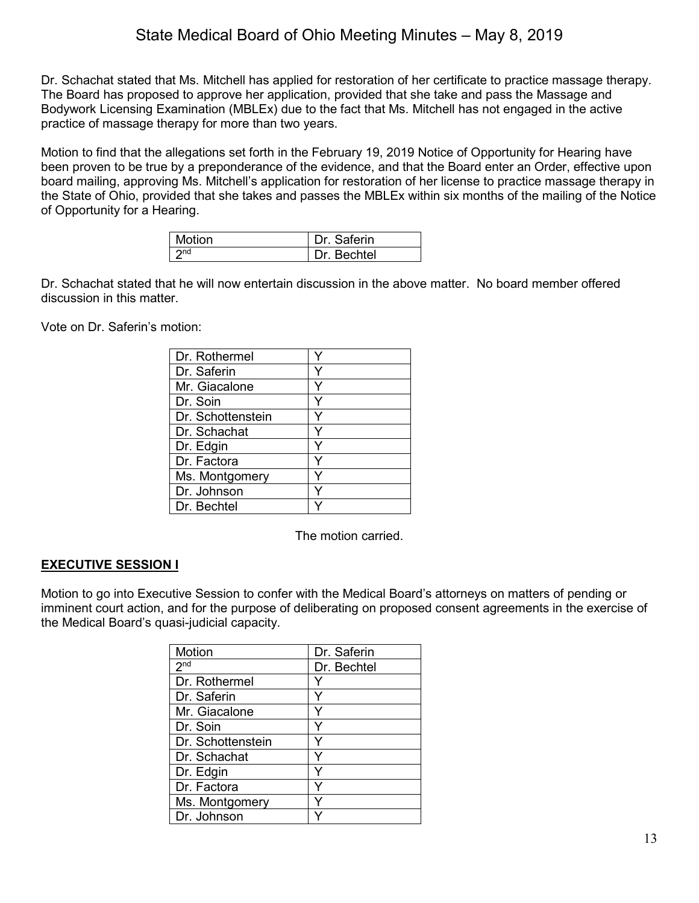Dr. Schachat stated that Ms. Mitchell has applied for restoration of her certificate to practice massage therapy. The Board has proposed to approve her application, provided that she take and pass the Massage and Bodywork Licensing Examination (MBLEx) due to the fact that Ms. Mitchell has not engaged in the active practice of massage therapy for more than two years.

Motion to find that the allegations set forth in the February 19, 2019 Notice of Opportunity for Hearing have been proven to be true by a preponderance of the evidence, and that the Board enter an Order, effective upon board mailing, approving Ms. Mitchell's application for restoration of her license to practice massage therapy in the State of Ohio, provided that she takes and passes the MBLEx within six months of the mailing of the Notice of Opportunity for a Hearing.

| Motion          | Dr. Saferin |
|-----------------|-------------|
| 2n <sub>d</sub> | Dr. Bechtel |

Dr. Schachat stated that he will now entertain discussion in the above matter. No board member offered discussion in this matter.

Vote on Dr. Saferin's motion:

| Dr. Rothermel     |  |
|-------------------|--|
| Dr. Saferin       |  |
| Mr. Giacalone     |  |
| Dr. Soin          |  |
| Dr. Schottenstein |  |
| Dr. Schachat      |  |
| Dr. Edgin         |  |
| Dr. Factora       |  |
| Ms. Montgomery    |  |
| Dr. Johnson       |  |
| Dr. Bechtel       |  |

The motion carried.

## **EXECUTIVE SESSION I**

Motion to go into Executive Session to confer with the Medical Board's attorneys on matters of pending or imminent court action, and for the purpose of deliberating on proposed consent agreements in the exercise of the Medical Board's quasi-judicial capacity.

| Motion            | Dr. Saferin |
|-------------------|-------------|
| 2 <sub>nd</sub>   | Dr. Bechtel |
| Dr. Rothermel     |             |
| Dr. Saferin       | Y           |
| Mr. Giacalone     |             |
| Dr. Soin          |             |
| Dr. Schottenstein |             |
| Dr. Schachat      | Y           |
| Dr. Edgin         |             |
| Dr. Factora       | Y           |
| Ms. Montgomery    | Y           |
| Dr. Johnson       |             |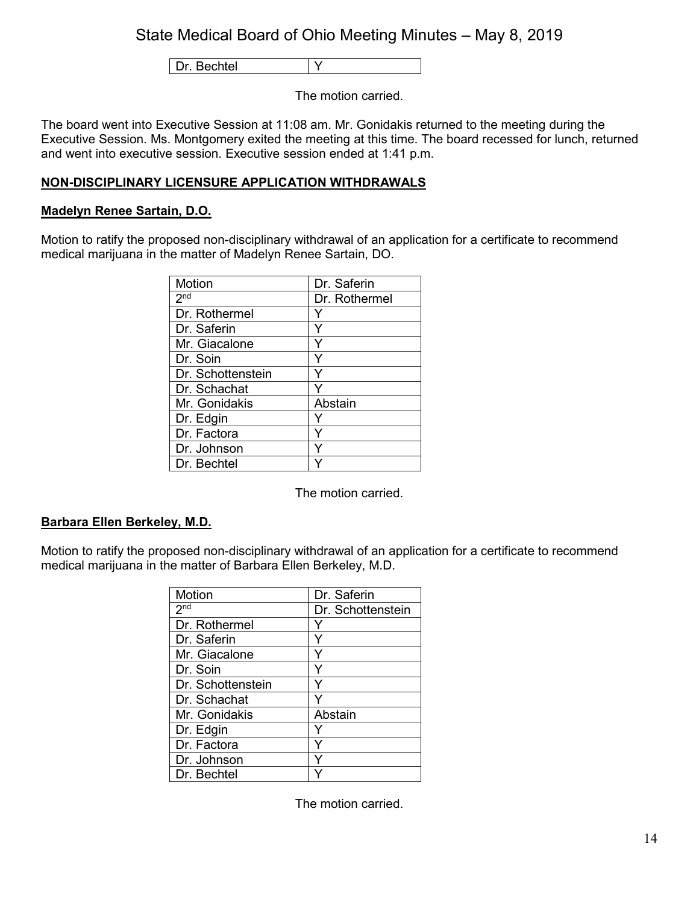Dr. Bechtel | Y

The motion carried.

The board went into Executive Session at 11:08 am. Mr. Gonidakis returned to the meeting during the Executive Session. Ms. Montgomery exited the meeting at this time. The board recessed for lunch, returned and went into executive session. Executive session ended at 1:41 p.m.

# **NON-DISCIPLINARY LICENSURE APPLICATION WITHDRAWALS**

## **Madelyn Renee Sartain, D.O.**

Motion to ratify the proposed non-disciplinary withdrawal of an application for a certificate to recommend medical marijuana in the matter of Madelyn Renee Sartain, DO.

| <b>Motion</b>     | Dr. Saferin   |
|-------------------|---------------|
| 2 <sub>nd</sub>   | Dr. Rothermel |
| Dr. Rothermel     |               |
| Dr. Saferin       |               |
| Mr. Giacalone     |               |
| Dr. Soin          |               |
| Dr. Schottenstein |               |
| Dr. Schachat      |               |
| Mr. Gonidakis     | Abstain       |
| Dr. Edgin         |               |
| Dr. Factora       |               |
| Dr. Johnson       |               |
| Dr. Bechtel       |               |

The motion carried.

## **Barbara Ellen Berkeley, M.D.**

Motion to ratify the proposed non-disciplinary withdrawal of an application for a certificate to recommend medical marijuana in the matter of Barbara Ellen Berkeley, M.D.

| Motion            | Dr. Saferin       |
|-------------------|-------------------|
| 2 <sup>nd</sup>   | Dr. Schottenstein |
| Dr. Rothermel     |                   |
| Dr. Saferin       |                   |
| Mr. Giacalone     |                   |
| Dr. Soin          |                   |
| Dr. Schottenstein |                   |
| Dr. Schachat      |                   |
| Mr. Gonidakis     | Abstain           |
| Dr. Edgin         |                   |
| Dr. Factora       |                   |
| Dr. Johnson       |                   |
| Dr. Bechtel       |                   |

The motion carried.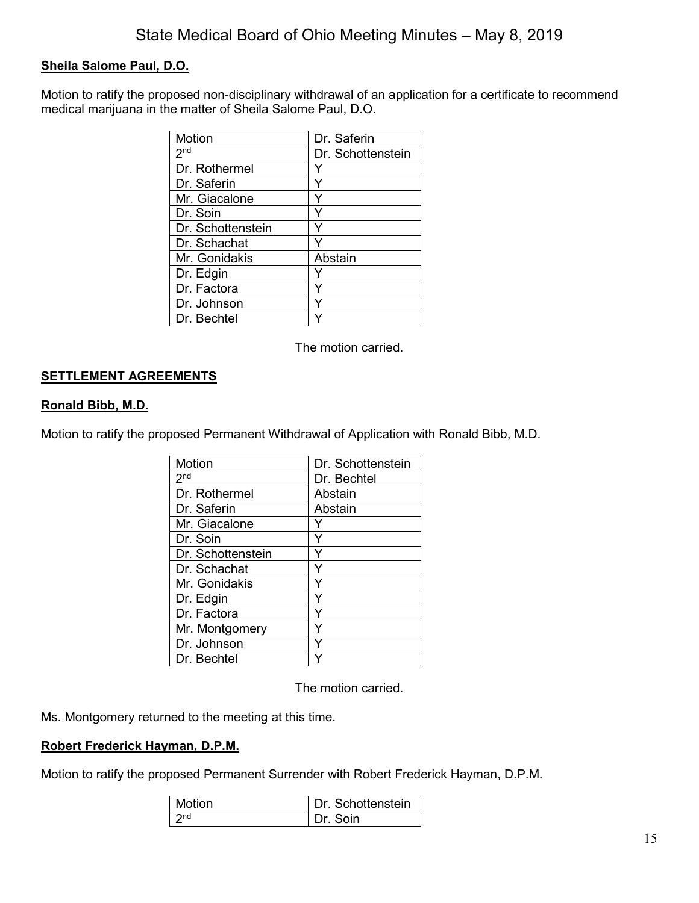# **Sheila Salome Paul, D.O.**

Motion to ratify the proposed non-disciplinary withdrawal of an application for a certificate to recommend medical marijuana in the matter of Sheila Salome Paul, D.O.

| <b>Motion</b>     | Dr. Saferin       |
|-------------------|-------------------|
| 2 <sub>nd</sub>   | Dr. Schottenstein |
| Dr. Rothermel     |                   |
| Dr. Saferin       | ٧                 |
| Mr. Giacalone     |                   |
| Dr. Soin          |                   |
| Dr. Schottenstein |                   |
| Dr. Schachat      |                   |
| Mr. Gonidakis     | Abstain           |
| Dr. Edgin         |                   |
| Dr. Factora       |                   |
| Dr. Johnson       |                   |
| Dr. Bechtel       |                   |

The motion carried.

## **SETTLEMENT AGREEMENTS**

#### **Ronald Bibb, M.D.**

Motion to ratify the proposed Permanent Withdrawal of Application with Ronald Bibb, M.D.

| Motion                     | Dr. Schottenstein |
|----------------------------|-------------------|
| $2^{\overline{\text{nd}}}$ | Dr. Bechtel       |
| Dr. Rothermel              | Abstain           |
| Dr. Saferin                | Abstain           |
| Mr. Giacalone              |                   |
| Dr. Soin                   | Y                 |
| Dr. Schottenstein          | Ý                 |
| Dr. Schachat               | Y                 |
| Mr. Gonidakis              | Y                 |
| Dr. Edgin                  | Y                 |
| Dr. Factora                | Y                 |
| Mr. Montgomery             |                   |
| Dr. Johnson                | ٧                 |
| Dr. Bechtel                |                   |

The motion carried.

Ms. Montgomery returned to the meeting at this time.

## **Robert Frederick Hayman, D.P.M.**

Motion to ratify the proposed Permanent Surrender with Robert Frederick Hayman, D.P.M.

| Motion | Dr. Schottenstein |
|--------|-------------------|
| ึ∩กd   | Dr. Soin          |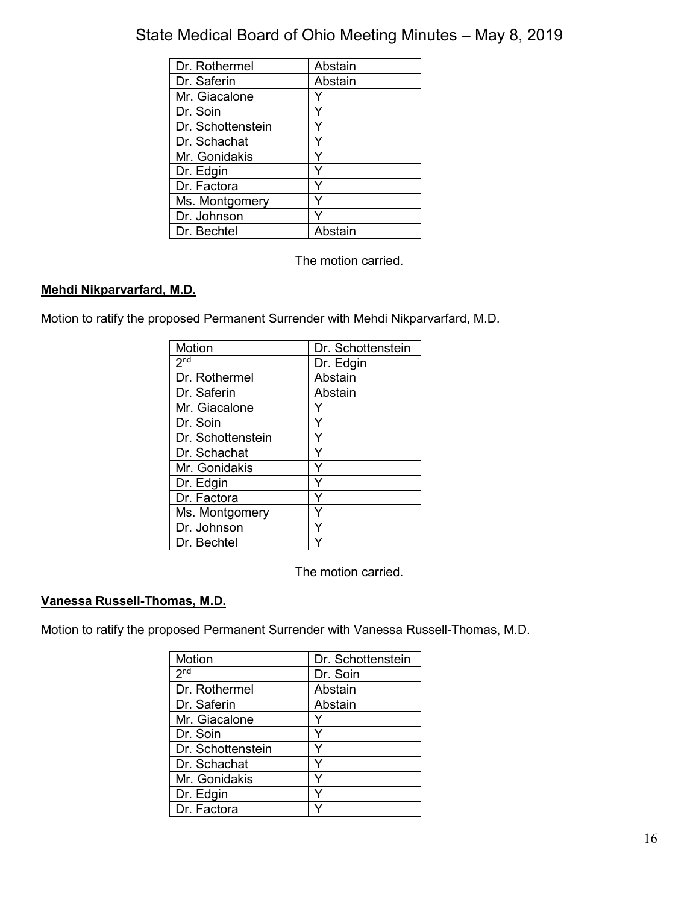| Dr. Rothermel     | Abstain |
|-------------------|---------|
| Dr. Saferin       | Abstain |
| Mr. Giacalone     |         |
| Dr. Soin          |         |
| Dr. Schottenstein |         |
| Dr. Schachat      |         |
| Mr. Gonidakis     |         |
| Dr. Edgin         |         |
| Dr. Factora       |         |
| Ms. Montgomery    |         |
| Dr. Johnson       |         |
| Dr. Bechtel       | Abstain |

The motion carried.

# **Mehdi Nikparvarfard, M.D.**

Motion to ratify the proposed Permanent Surrender with Mehdi Nikparvarfard, M.D.

| Motion            | Dr. Schottenstein |
|-------------------|-------------------|
| 2 <sub>nd</sub>   | Dr. Edgin         |
| Dr. Rothermel     | Abstain           |
| Dr. Saferin       | Abstain           |
| Mr. Giacalone     |                   |
| Dr. Soin          |                   |
| Dr. Schottenstein |                   |
| Dr. Schachat      |                   |
| Mr. Gonidakis     |                   |
| Dr. Edgin         |                   |
| Dr. Factora       |                   |
| Ms. Montgomery    |                   |
| Dr. Johnson       |                   |
| Dr. Bechtel       |                   |

The motion carried.

# **Vanessa Russell-Thomas, M.D.**

Motion to ratify the proposed Permanent Surrender with Vanessa Russell-Thomas, M.D.

| <b>Motion</b>     | Dr. Schottenstein |
|-------------------|-------------------|
| 2 <sub>nd</sub>   | Dr. Soin          |
| Dr. Rothermel     | Abstain           |
| Dr. Saferin       | Abstain           |
| Mr. Giacalone     | Y                 |
| Dr. Soin          | Y                 |
| Dr. Schottenstein |                   |
| Dr. Schachat      | ٧                 |
| Mr. Gonidakis     |                   |
| Dr. Edgin         |                   |
| Dr. Factora       |                   |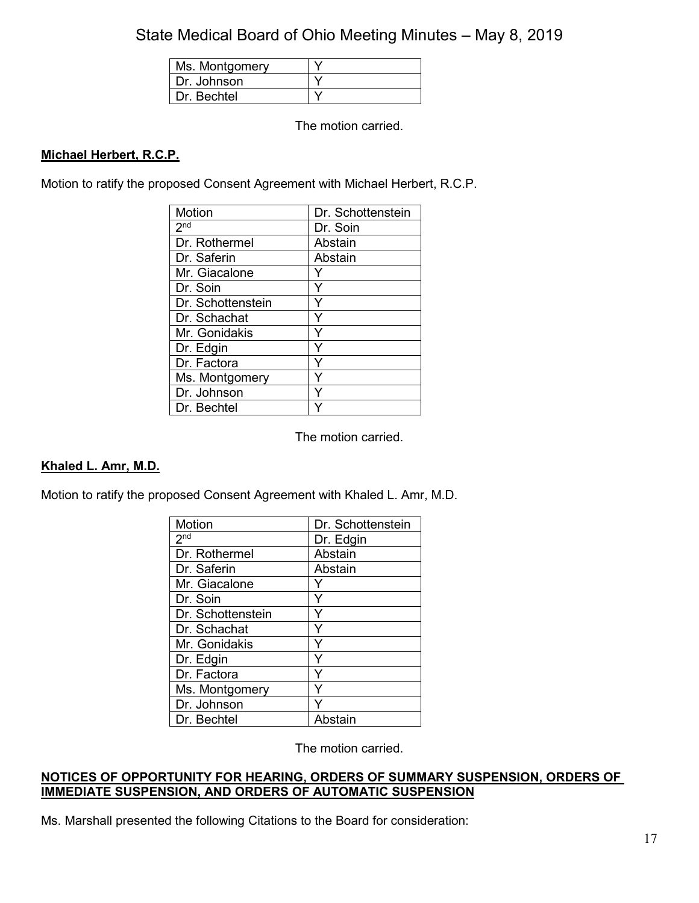| Ms. Montgomery |  |
|----------------|--|
| Dr. Johnson    |  |
| Dr. Bechtel    |  |

The motion carried.

# **Michael Herbert, R.C.P.**

Motion to ratify the proposed Consent Agreement with Michael Herbert, R.C.P.

| <b>Motion</b>     | Dr. Schottenstein |
|-------------------|-------------------|
| 2 <sub>nd</sub>   | Dr. Soin          |
| Dr. Rothermel     | Abstain           |
| Dr. Saferin       | Abstain           |
| Mr. Giacalone     |                   |
| Dr. Soin          | Y                 |
| Dr. Schottenstein | Y                 |
| Dr. Schachat      | Y                 |
| Mr. Gonidakis     | Y                 |
| Dr. Edgin         | Υ                 |
| Dr. Factora       |                   |
| Ms. Montgomery    |                   |
| Dr. Johnson       | Ÿ                 |
| Dr. Bechtel       |                   |

The motion carried.

## **Khaled L. Amr, M.D.**

Motion to ratify the proposed Consent Agreement with Khaled L. Amr, M.D.

| Motion            | Dr. Schottenstein |
|-------------------|-------------------|
| 2 <sup>nd</sup>   | Dr. Edgin         |
| Dr. Rothermel     | Abstain           |
| Dr. Saferin       | Abstain           |
| Mr. Giacalone     |                   |
| Dr. Soin          | Y                 |
| Dr. Schottenstein | Y                 |
| Dr. Schachat      | Y                 |
| Mr. Gonidakis     | Y                 |
| Dr. Edgin         | Y                 |
| Dr. Factora       | Y                 |
| Ms. Montgomery    |                   |
| Dr. Johnson       |                   |
| Dr. Bechtel       | Abstain           |

The motion carried.

## **NOTICES OF OPPORTUNITY FOR HEARING, ORDERS OF SUMMARY SUSPENSION, ORDERS OF IMMEDIATE SUSPENSION, AND ORDERS OF AUTOMATIC SUSPENSION**

Ms. Marshall presented the following Citations to the Board for consideration: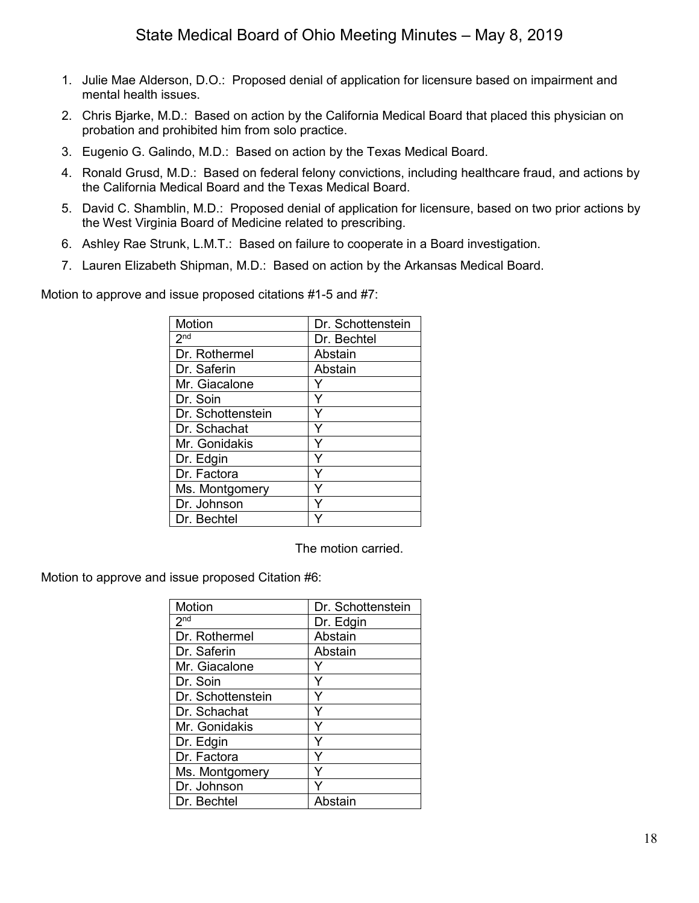- 1. Julie Mae Alderson, D.O.: Proposed denial of application for licensure based on impairment and mental health issues.
- 2. Chris Bjarke, M.D.: Based on action by the California Medical Board that placed this physician on probation and prohibited him from solo practice.
- 3. Eugenio G. Galindo, M.D.: Based on action by the Texas Medical Board.
- 4. Ronald Grusd, M.D.: Based on federal felony convictions, including healthcare fraud, and actions by the California Medical Board and the Texas Medical Board.
- 5. David C. Shamblin, M.D.: Proposed denial of application for licensure, based on two prior actions by the West Virginia Board of Medicine related to prescribing.
- 6. Ashley Rae Strunk, L.M.T.: Based on failure to cooperate in a Board investigation.
- 7. Lauren Elizabeth Shipman, M.D.: Based on action by the Arkansas Medical Board.

Motion to approve and issue proposed citations #1-5 and #7:

| Motion            | Dr. Schottenstein |
|-------------------|-------------------|
| 2 <sub>nd</sub>   | Dr. Bechtel       |
| Dr. Rothermel     | Abstain           |
| Dr. Saferin       | Abstain           |
| Mr. Giacalone     |                   |
| Dr. Soin          | Y                 |
| Dr. Schottenstein | Y                 |
| Dr. Schachat      | Y                 |
| Mr. Gonidakis     | Y                 |
| Dr. Edgin         | Y                 |
| Dr. Factora       | Y                 |
| Ms. Montgomery    |                   |
| Dr. Johnson       |                   |
| Dr. Bechtel       |                   |

The motion carried.

Motion to approve and issue proposed Citation #6:

| <b>Motion</b>     | Dr. Schottenstein |
|-------------------|-------------------|
| 2 <sup>nd</sup>   | Dr. Edgin         |
| Dr. Rothermel     | Abstain           |
| Dr. Saferin       | Abstain           |
| Mr. Giacalone     |                   |
| Dr. Soin          | Y                 |
| Dr. Schottenstein | Y                 |
| Dr. Schachat      | Ý                 |
| Mr. Gonidakis     | Y                 |
| Dr. Edgin         | Y                 |
| Dr. Factora       | Y                 |
| Ms. Montgomery    | Y                 |
| Dr. Johnson       |                   |
| Dr. Bechtel       | Abstain           |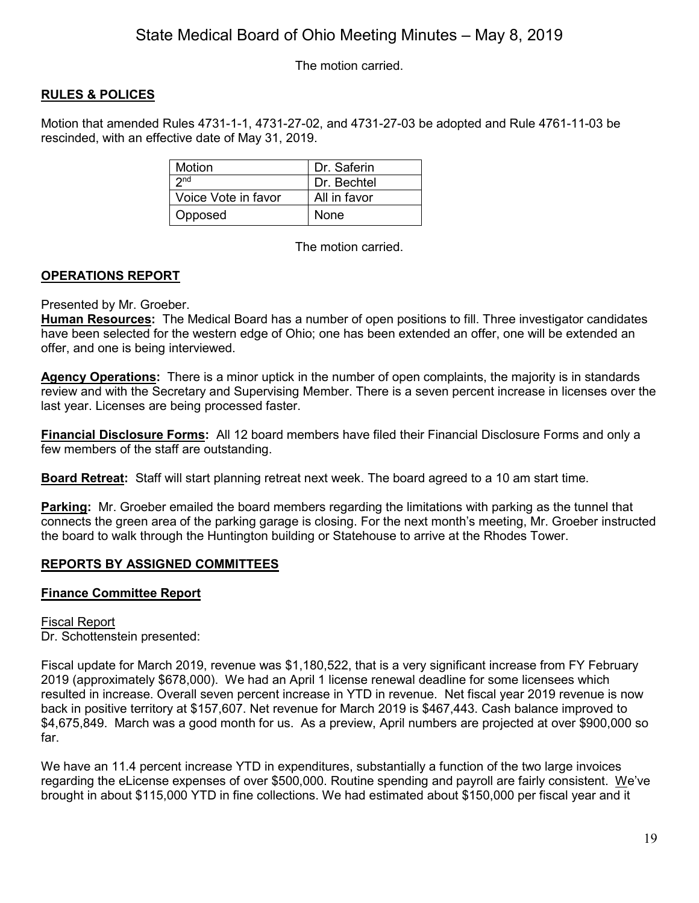The motion carried.

# **RULES & POLICES**

Motion that amended Rules 4731-1-1, 4731-27-02, and 4731-27-03 be adopted and Rule 4761-11-03 be rescinded, with an effective date of May 31, 2019.

| Motion              | Dr. Saferin  |
|---------------------|--------------|
| 2 <sub>nd</sub>     | Dr. Bechtel  |
| Voice Vote in favor | All in favor |
| Opposed             | None         |

The motion carried.

# **OPERATIONS REPORT**

## Presented by Mr. Groeber.

**Human Resources:** The Medical Board has a number of open positions to fill. Three investigator candidates have been selected for the western edge of Ohio; one has been extended an offer, one will be extended an offer, and one is being interviewed.

**Agency Operations:** There is a minor uptick in the number of open complaints, the majority is in standards review and with the Secretary and Supervising Member. There is a seven percent increase in licenses over the last year. Licenses are being processed faster.

**Financial Disclosure Forms:** All 12 board members have filed their Financial Disclosure Forms and only a few members of the staff are outstanding.

**Board Retreat:** Staff will start planning retreat next week. The board agreed to a 10 am start time.

**Parking:** Mr. Groeber emailed the board members regarding the limitations with parking as the tunnel that connects the green area of the parking garage is closing. For the next month's meeting, Mr. Groeber instructed the board to walk through the Huntington building or Statehouse to arrive at the Rhodes Tower.

# **REPORTS BY ASSIGNED COMMITTEES**

# **Finance Committee Report**

Fiscal Report Dr. Schottenstein presented:

Fiscal update for March 2019, revenue was \$1,180,522, that is a very significant increase from FY February 2019 (approximately \$678,000). We had an April 1 license renewal deadline for some licensees which resulted in increase. Overall seven percent increase in YTD in revenue. Net fiscal year 2019 revenue is now back in positive territory at \$157,607. Net revenue for March 2019 is \$467,443. Cash balance improved to \$4,675,849. March was a good month for us. As a preview, April numbers are projected at over \$900,000 so far.

We have an 11.4 percent increase YTD in expenditures, substantially a function of the two large invoices regarding the eLicense expenses of over \$500,000. Routine spending and payroll are fairly consistent. We've brought in about \$115,000 YTD in fine collections. We had estimated about \$150,000 per fiscal year and it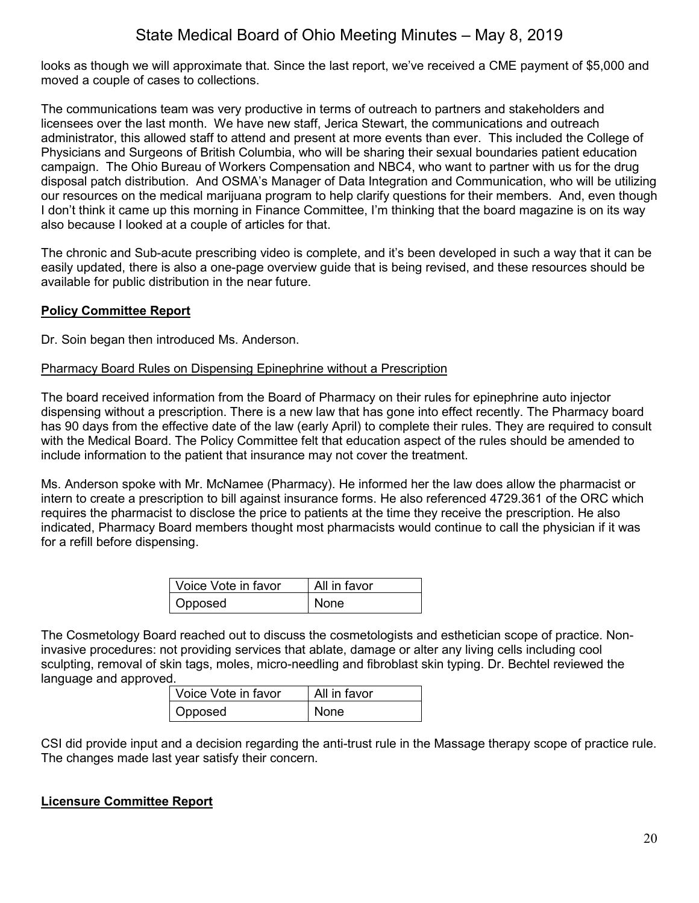looks as though we will approximate that. Since the last report, we've received a CME payment of \$5,000 and moved a couple of cases to collections.

The communications team was very productive in terms of outreach to partners and stakeholders and licensees over the last month. We have new staff, Jerica Stewart, the communications and outreach administrator, this allowed staff to attend and present at more events than ever. This included the College of Physicians and Surgeons of British Columbia, who will be sharing their sexual boundaries patient education campaign. The Ohio Bureau of Workers Compensation and NBC4, who want to partner with us for the drug disposal patch distribution. And OSMA's Manager of Data Integration and Communication, who will be utilizing our resources on the medical marijuana program to help clarify questions for their members. And, even though I don't think it came up this morning in Finance Committee, I'm thinking that the board magazine is on its way also because I looked at a couple of articles for that.

The chronic and Sub-acute prescribing video is complete, and it's been developed in such a way that it can be easily updated, there is also a one-page overview guide that is being revised, and these resources should be available for public distribution in the near future.

## **Policy Committee Report**

Dr. Soin began then introduced Ms. Anderson.

## Pharmacy Board Rules on Dispensing Epinephrine without a Prescription

The board received information from the Board of Pharmacy on their rules for epinephrine auto injector dispensing without a prescription. There is a new law that has gone into effect recently. The Pharmacy board has 90 days from the effective date of the law (early April) to complete their rules. They are required to consult with the Medical Board. The Policy Committee felt that education aspect of the rules should be amended to include information to the patient that insurance may not cover the treatment.

Ms. Anderson spoke with Mr. McNamee (Pharmacy). He informed her the law does allow the pharmacist or intern to create a prescription to bill against insurance forms. He also referenced 4729.361 of the ORC which requires the pharmacist to disclose the price to patients at the time they receive the prescription. He also indicated, Pharmacy Board members thought most pharmacists would continue to call the physician if it was for a refill before dispensing.

| l Voice Vote in favor | All in favor |
|-----------------------|--------------|
| Opposed               | None         |

The Cosmetology Board reached out to discuss the cosmetologists and esthetician scope of practice. Noninvasive procedures: not providing services that ablate, damage or alter any living cells including cool sculpting, removal of skin tags, moles, micro-needling and fibroblast skin typing. Dr. Bechtel reviewed the language and approved.

| Voice Vote in favor | All in favor |
|---------------------|--------------|
| Opposed             | <b>None</b>  |

CSI did provide input and a decision regarding the anti-trust rule in the Massage therapy scope of practice rule. The changes made last year satisfy their concern.

## **Licensure Committee Report**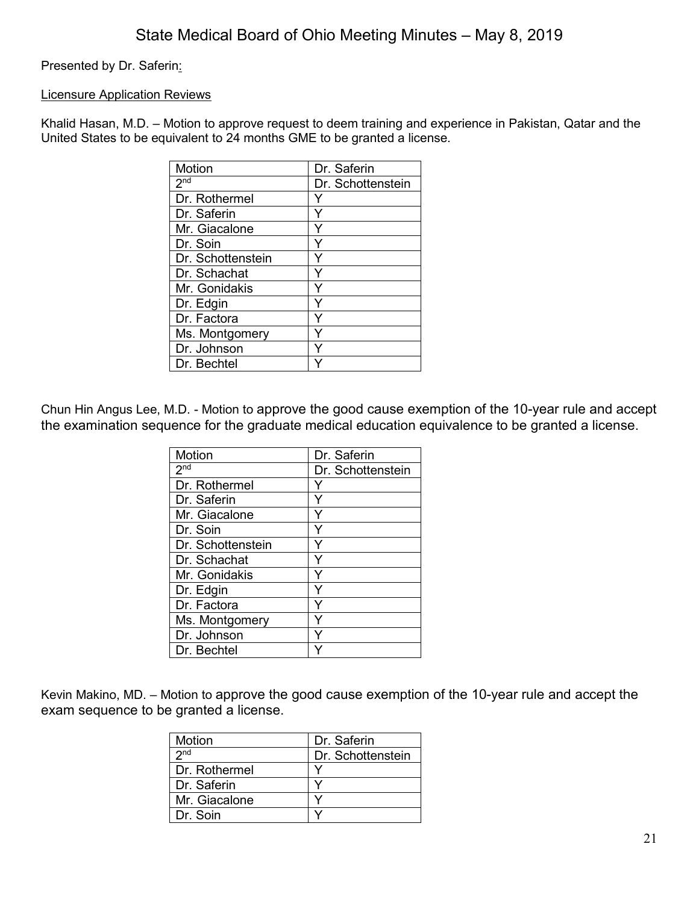Presented by Dr. Saferin:

## Licensure Application Reviews

Khalid Hasan, M.D. – Motion to approve request to deem training and experience in Pakistan, Qatar and the United States to be equivalent to 24 months GME to be granted a license.

| Motion            | Dr. Saferin       |
|-------------------|-------------------|
| 2 <sub>nd</sub>   | Dr. Schottenstein |
| Dr. Rothermel     |                   |
| Dr. Saferin       | v                 |
| Mr. Giacalone     |                   |
| Dr. Soin          |                   |
| Dr. Schottenstein | ٧                 |
| Dr. Schachat      |                   |
| Mr. Gonidakis     |                   |
| Dr. Edgin         | ٧                 |
| Dr. Factora       |                   |
| Ms. Montgomery    |                   |
| Dr. Johnson       |                   |
| Dr. Bechtel       |                   |

Chun Hin Angus Lee, M.D. - Motion to approve the good cause exemption of the 10-year rule and accept the examination sequence for the graduate medical education equivalence to be granted a license.

| Motion                     | Dr. Saferin       |
|----------------------------|-------------------|
| $2^{\overline{\text{nd}}}$ | Dr. Schottenstein |
| Dr. Rothermel              |                   |
| Dr. Saferin                | Y                 |
| Mr. Giacalone              | Y                 |
| Dr. Soin                   | Y                 |
| Dr. Schottenstein          | Y                 |
| Dr. Schachat               | Ý                 |
| Mr. Gonidakis              | Y                 |
| Dr. Edgin                  | Y                 |
| Dr. Factora                | Y                 |
| Ms. Montgomery             |                   |
| Dr. Johnson                |                   |
| Dr. Bechtel                |                   |

Kevin Makino, MD. – Motion to approve the good cause exemption of the 10-year rule and accept the exam sequence to be granted a license.

| Motion          | Dr. Saferin       |
|-----------------|-------------------|
| 2 <sub>nd</sub> | Dr. Schottenstein |
| l Dr. Rothermel |                   |
| l Dr. Saferin   |                   |
| Mr. Giacalone   |                   |
| l Dr. Soin      |                   |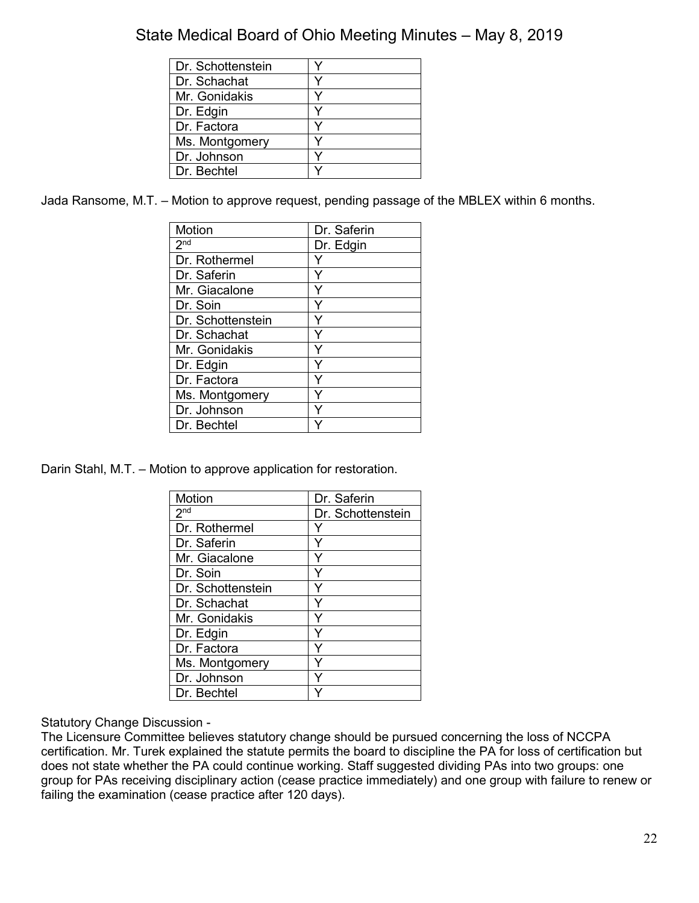| Dr. Schottenstein |  |
|-------------------|--|
| Dr. Schachat      |  |
| Mr. Gonidakis     |  |
| Dr. Edgin         |  |
| Dr. Factora       |  |
| Ms. Montgomery    |  |
| Dr. Johnson       |  |
| Dr. Bechtel       |  |

Jada Ransome, M.T. – Motion to approve request, pending passage of the MBLEX within 6 months.

| Motion            | Dr. Saferin |
|-------------------|-------------|
| 2 <sup>nd</sup>   | Dr. Edgin   |
| Dr. Rothermel     |             |
| Dr. Saferin       |             |
| Mr. Giacalone     | Y           |
| Dr. Soin          |             |
| Dr. Schottenstein | Y           |
| Dr. Schachat      | Y           |
| Mr. Gonidakis     |             |
| Dr. Edgin         | Y           |
| Dr. Factora       | Y           |
| Ms. Montgomery    |             |
| Dr. Johnson       |             |
| Dr. Bechtel       |             |

Darin Stahl, M.T. – Motion to approve application for restoration.

| Motion            | Dr. Saferin       |
|-------------------|-------------------|
| 2 <sub>nd</sub>   | Dr. Schottenstein |
| Dr. Rothermel     | Y                 |
| Dr. Saferin       | Y                 |
| Mr. Giacalone     | Y                 |
| Dr. Soin          | Y                 |
| Dr. Schottenstein | Ý                 |
| Dr. Schachat      | Y                 |
| Mr. Gonidakis     | Y                 |
| Dr. Edgin         | Ý                 |
| Dr. Factora       | Y                 |
| Ms. Montgomery    |                   |
| Dr. Johnson       | Y                 |
| Dr. Bechtel       |                   |

Statutory Change Discussion -

The Licensure Committee believes statutory change should be pursued concerning the loss of NCCPA certification. Mr. Turek explained the statute permits the board to discipline the PA for loss of certification but does not state whether the PA could continue working. Staff suggested dividing PAs into two groups: one group for PAs receiving disciplinary action (cease practice immediately) and one group with failure to renew or failing the examination (cease practice after 120 days).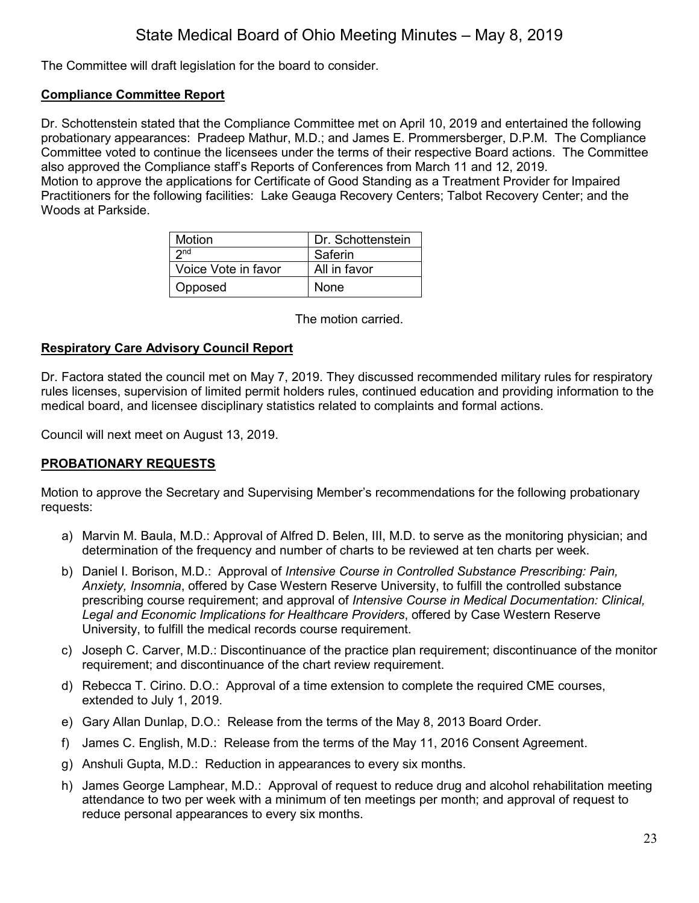The Committee will draft legislation for the board to consider.

## **Compliance Committee Report**

Dr. Schottenstein stated that the Compliance Committee met on April 10, 2019 and entertained the following probationary appearances: Pradeep Mathur, M.D.; and James E. Prommersberger, D.P.M. The Compliance Committee voted to continue the licensees under the terms of their respective Board actions. The Committee also approved the Compliance staff's Reports of Conferences from March 11 and 12, 2019. Motion to approve the applications for Certificate of Good Standing as a Treatment Provider for Impaired Practitioners for the following facilities: Lake Geauga Recovery Centers; Talbot Recovery Center; and the Woods at Parkside.

| <b>Motion</b>       | Dr. Schottenstein |
|---------------------|-------------------|
| 2nd                 | Saferin           |
| Voice Vote in favor | All in favor      |
| Opposed             | None              |

The motion carried.

## **Respiratory Care Advisory Council Report**

Dr. Factora stated the council met on May 7, 2019. They discussed recommended military rules for respiratory rules licenses, supervision of limited permit holders rules, continued education and providing information to the medical board, and licensee disciplinary statistics related to complaints and formal actions.

Council will next meet on August 13, 2019.

# **PROBATIONARY REQUESTS**

Motion to approve the Secretary and Supervising Member's recommendations for the following probationary requests:

- a) Marvin M. Baula, M.D.: Approval of Alfred D. Belen, III, M.D. to serve as the monitoring physician; and determination of the frequency and number of charts to be reviewed at ten charts per week.
- b) Daniel I. Borison, M.D.: Approval of *Intensive Course in Controlled Substance Prescribing: Pain, Anxiety, Insomnia*, offered by Case Western Reserve University, to fulfill the controlled substance prescribing course requirement; and approval of *Intensive Course in Medical Documentation: Clinical, Legal and Economic Implications for Healthcare Providers*, offered by Case Western Reserve University, to fulfill the medical records course requirement.
- c) Joseph C. Carver, M.D.: Discontinuance of the practice plan requirement; discontinuance of the monitor requirement; and discontinuance of the chart review requirement.
- d) Rebecca T. Cirino. D.O.: Approval of a time extension to complete the required CME courses, extended to July 1, 2019.
- e) Gary Allan Dunlap, D.O.: Release from the terms of the May 8, 2013 Board Order.
- f) James C. English, M.D.: Release from the terms of the May 11, 2016 Consent Agreement.
- g) Anshuli Gupta, M.D.: Reduction in appearances to every six months.
- h) James George Lamphear, M.D.: Approval of request to reduce drug and alcohol rehabilitation meeting attendance to two per week with a minimum of ten meetings per month; and approval of request to reduce personal appearances to every six months.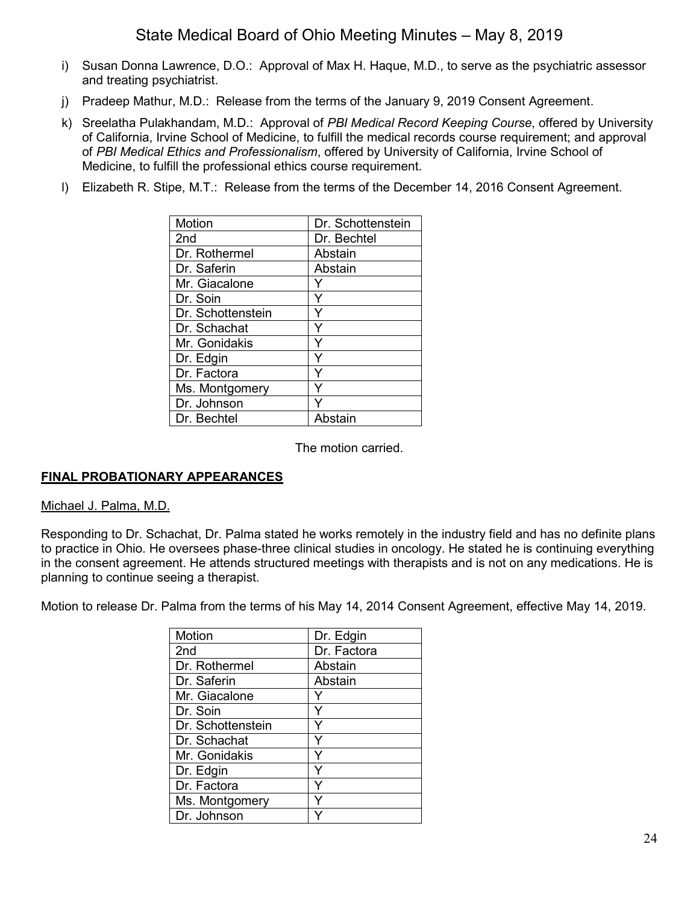- i) Susan Donna Lawrence, D.O.: Approval of Max H. Haque, M.D., to serve as the psychiatric assessor and treating psychiatrist.
- j) Pradeep Mathur, M.D.: Release from the terms of the January 9, 2019 Consent Agreement.
- k) Sreelatha Pulakhandam, M.D.: Approval of *PBI Medical Record Keeping Course*, offered by University of California, Irvine School of Medicine, to fulfill the medical records course requirement; and approval of *PBI Medical Ethics and Professionalism*, offered by University of California, Irvine School of Medicine, to fulfill the professional ethics course requirement.
- l) Elizabeth R. Stipe, M.T.: Release from the terms of the December 14, 2016 Consent Agreement.

| Motion            | Dr. Schottenstein |
|-------------------|-------------------|
| 2 <sub>nd</sub>   | Dr. Bechtel       |
| Dr. Rothermel     | Abstain           |
| Dr. Saferin       | Abstain           |
| Mr. Giacalone     |                   |
| Dr. Soin          | Y                 |
| Dr. Schottenstein | Y                 |
| Dr. Schachat      | Ý                 |
| Mr. Gonidakis     | Y                 |
| Dr. Edgin         | Y                 |
| Dr. Factora       | Y                 |
| Ms. Montgomery    |                   |
| Dr. Johnson       | Y                 |
| Dr. Bechtel       | Abstain           |

The motion carried.

## **FINAL PROBATIONARY APPEARANCES**

#### Michael J. Palma, M.D.

Responding to Dr. Schachat, Dr. Palma stated he works remotely in the industry field and has no definite plans to practice in Ohio. He oversees phase-three clinical studies in oncology. He stated he is continuing everything in the consent agreement. He attends structured meetings with therapists and is not on any medications. He is planning to continue seeing a therapist.

Motion to release Dr. Palma from the terms of his May 14, 2014 Consent Agreement, effective May 14, 2019.

| Motion            | Dr. Edgin   |
|-------------------|-------------|
| 2 <sub>nd</sub>   | Dr. Factora |
| Dr. Rothermel     | Abstain     |
| Dr. Saferin       | Abstain     |
| Mr. Giacalone     |             |
| Dr. Soin          | Y           |
| Dr. Schottenstein | Y           |
| Dr. Schachat      |             |
| Mr. Gonidakis     |             |
| Dr. Edgin         | Υ           |
| Dr. Factora       | ٧           |
| Ms. Montgomery    |             |
| Dr. Johnson       |             |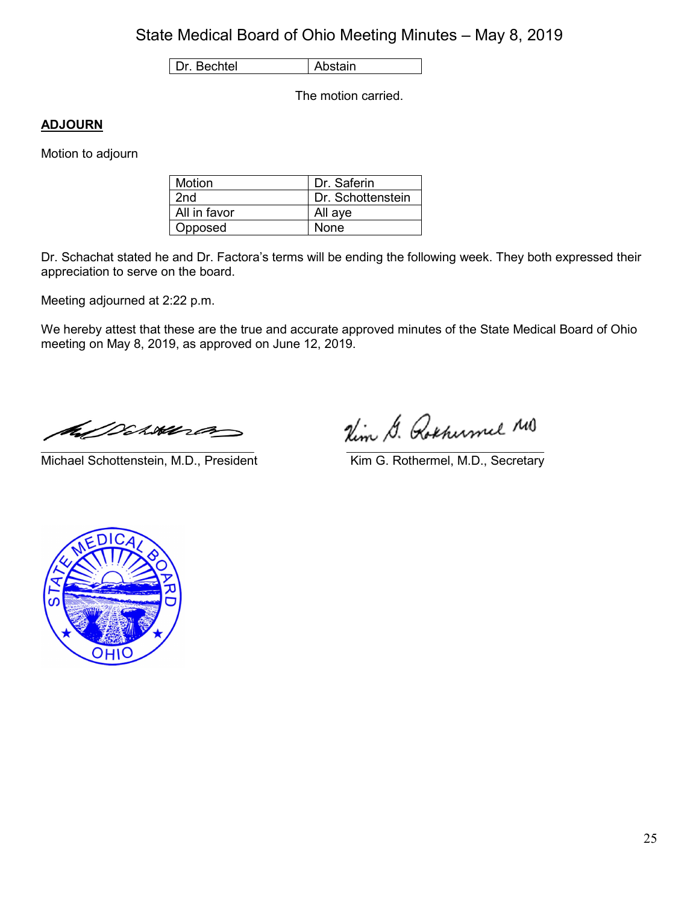Dr. Bechtel | Abstain

The motion carried.

# **ADJOURN**

Motion to adjourn

| Motion       | Dr. Saferin       |
|--------------|-------------------|
| 2nd          | Dr. Schottenstein |
| All in favor | All aye           |
| Opposed      | None              |

Dr. Schachat stated he and Dr. Factora's terms will be ending the following week. They both expressed their appreciation to serve on the board.

Meeting adjourned at 2:22 p.m.

We hereby attest that these are the true and accurate approved minutes of the State Medical Board of Ohio meeting on May 8, 2019, as approved on June 12, 2019.

a Diwara

\_\_\_\_\_\_\_\_\_\_\_\_\_\_\_\_\_\_\_\_\_\_\_\_\_\_\_\_\_\_\_\_\_\_\_\_\_\_\_\_\_\_ \_\_\_\_\_\_\_\_\_\_\_\_\_\_\_\_\_\_\_\_\_\_\_\_\_\_\_\_\_\_\_\_\_\_\_\_\_\_\_ Michael Schottenstein, M.D., President Kim G. Rothermel, M.D., Secretary

Nim G. Rochumel MO

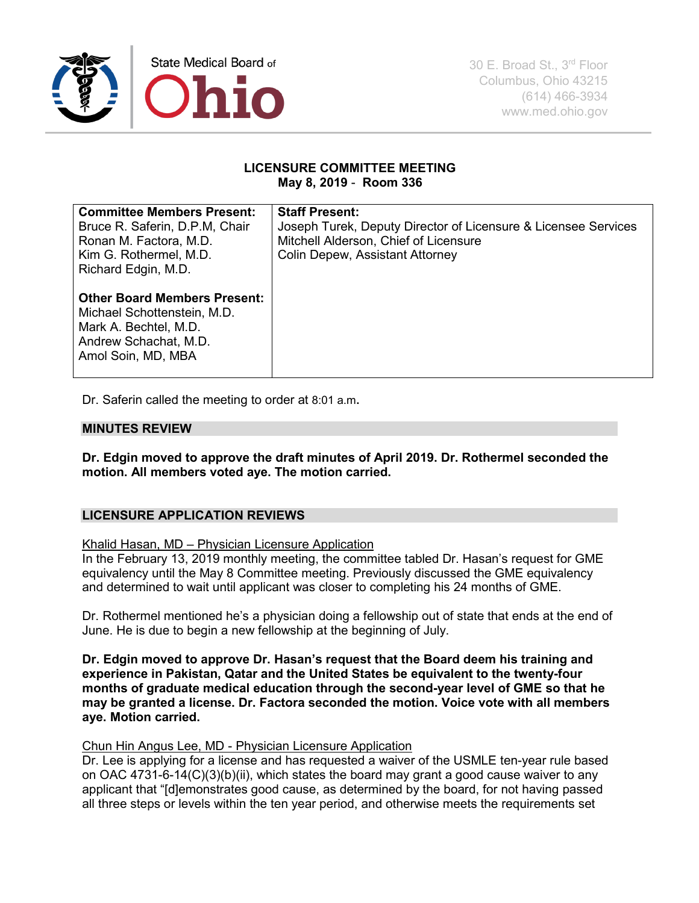

### **LICENSURE COMMITTEE MEETING May 8, 2019** - **Room 336**

| <b>Committee Members Present:</b><br>Bruce R. Saferin, D.P.M. Chair<br>Ronan M. Factora, M.D.<br>Kim G. Rothermel, M.D.<br>Richard Edgin, M.D. | <b>Staff Present:</b><br>Joseph Turek, Deputy Director of Licensure & Licensee Services<br>Mitchell Alderson, Chief of Licensure<br>Colin Depew, Assistant Attorney |
|------------------------------------------------------------------------------------------------------------------------------------------------|---------------------------------------------------------------------------------------------------------------------------------------------------------------------|
| <b>Other Board Members Present:</b><br>Michael Schottenstein, M.D.<br>Mark A. Bechtel, M.D.<br>Andrew Schachat, M.D.<br>Amol Soin, MD, MBA     |                                                                                                                                                                     |

Dr. Saferin called the meeting to order at 8:01 a.m**.**

## **MINUTES REVIEW**

**Dr. Edgin moved to approve the draft minutes of April 2019. Dr. Rothermel seconded the motion. All members voted aye. The motion carried.**

## **LICENSURE APPLICATION REVIEWS**

#### Khalid Hasan, MD – Physician Licensure Application

In the February 13, 2019 monthly meeting, the committee tabled Dr. Hasan's request for GME equivalency until the May 8 Committee meeting. Previously discussed the GME equivalency and determined to wait until applicant was closer to completing his 24 months of GME.

Dr. Rothermel mentioned he's a physician doing a fellowship out of state that ends at the end of June. He is due to begin a new fellowship at the beginning of July.

**Dr. Edgin moved to approve Dr. Hasan's request that the Board deem his training and experience in Pakistan, Qatar and the United States be equivalent to the twenty-four months of graduate medical education through the second-year level of GME so that he may be granted a license. Dr. Factora seconded the motion. Voice vote with all members aye. Motion carried.** 

### Chun Hin Angus Lee, MD - Physician Licensure Application

Dr. Lee is applying for a license and has requested a waiver of the USMLE ten-year rule based on OAC 4731-6-14(C)(3)(b)(ii), which states the board may grant a good cause waiver to any applicant that "[d]emonstrates good cause, as determined by the board, for not having passed all three steps or levels within the ten year period, and otherwise meets the requirements set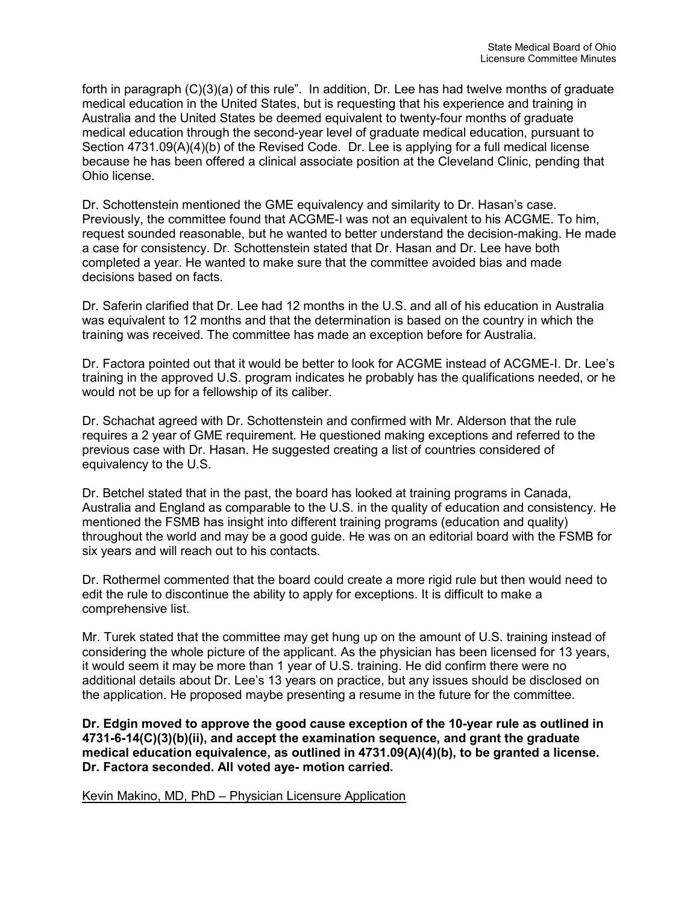forth in paragraph (C)(3)(a) of this rule". In addition, Dr. Lee has had twelve months of graduate medical education in the United States, but is requesting that his experience and training in Australia and the United States be deemed equivalent to twenty-four months of graduate medical education through the second-year level of graduate medical education, pursuant to Section 4731.09(A)(4)(b) of the Revised Code. Dr. Lee is applying for a full medical license because he has been offered a clinical associate position at the Cleveland Clinic, pending that Ohio license.

Dr. Schottenstein mentioned the GME equivalency and similarity to Dr. Hasan's case. Previously, the committee found that ACGME-I was not an equivalent to his ACGME. To him, request sounded reasonable, but he wanted to better understand the decision-making. He made a case for consistency. Dr. Schottenstein stated that Dr. Hasan and Dr. Lee have both completed a year. He wanted to make sure that the committee avoided bias and made decisions based on facts.

Dr. Saferin clarified that Dr. Lee had 12 months in the U.S. and all of his education in Australia was equivalent to 12 months and that the determination is based on the country in which the training was received. The committee has made an exception before for Australia.

Dr. Factora pointed out that it would be better to look for ACGME instead of ACGME-I. Dr. Lee's training in the approved U.S. program indicates he probably has the qualifications needed, or he would not be up for a fellowship of its caliber.

Dr. Schachat agreed with Dr. Schottenstein and confirmed with Mr. Alderson that the rule requires a 2 year of GME requirement. He questioned making exceptions and referred to the previous case with Dr. Hasan. He suggested creating a list of countries considered of equivalency to the U.S.

Dr. Betchel stated that in the past, the board has looked at training programs in Canada, Australia and England as comparable to the U.S. in the quality of education and consistency. He mentioned the FSMB has insight into different training programs (education and quality) throughout the world and may be a good guide. He was on an editorial board with the FSMB for six years and will reach out to his contacts.

Dr. Rothermel commented that the board could create a more rigid rule but then would need to edit the rule to discontinue the ability to apply for exceptions. It is difficult to make a comprehensive list.

Mr. Turek stated that the committee may get hung up on the amount of U.S. training instead of considering the whole picture of the applicant. As the physician has been licensed for 13 years, it would seem it may be more than 1 year of U.S. training. He did confirm there were no additional details about Dr. Lee's 13 years on practice, but any issues should be disclosed on the application. He proposed maybe presenting a resume in the future for the committee.

**Dr. Edgin moved to approve the good cause exception of the 10-year rule as outlined in 4731-6-14(C)(3)(b)(ii), and accept the examination sequence, and grant the graduate medical education equivalence, as outlined in 4731.09(A)(4)(b), to be granted a license. Dr. Factora seconded. All voted aye- motion carried.** 

Kevin Makino, MD, PhD – Physician Licensure Application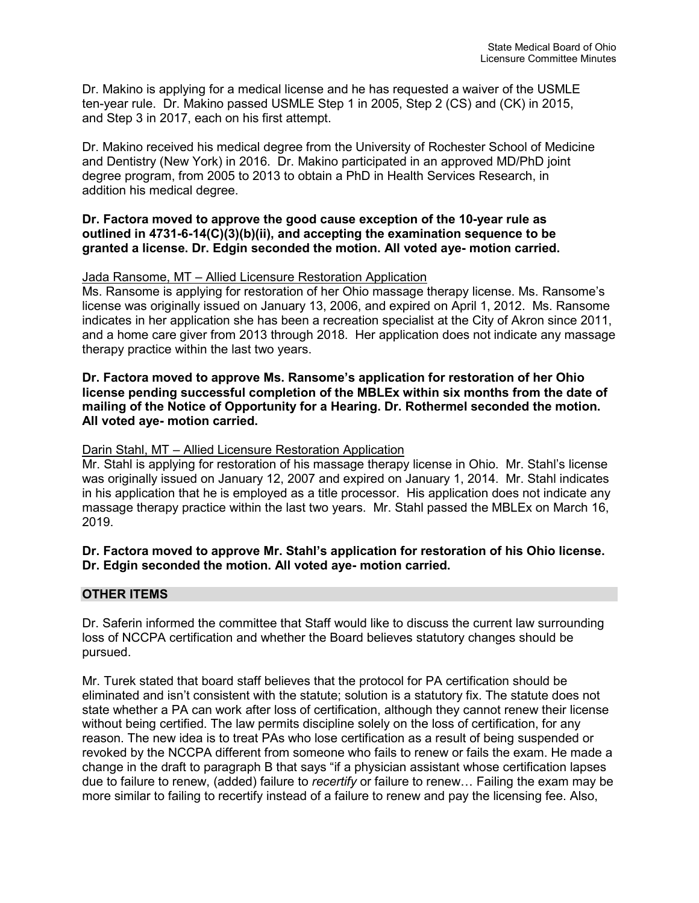Dr. Makino is applying for a medical license and he has requested a waiver of the USMLE ten-year rule. Dr. Makino passed USMLE Step 1 in 2005, Step 2 (CS) and (CK) in 2015, and Step 3 in 2017, each on his first attempt.

Dr. Makino received his medical degree from the University of Rochester School of Medicine and Dentistry (New York) in 2016. Dr. Makino participated in an approved MD/PhD joint degree program, from 2005 to 2013 to obtain a PhD in Health Services Research, in addition his medical degree.

### **Dr. Factora moved to approve the good cause exception of the 10-year rule as outlined in 4731-6-14(C)(3)(b)(ii), and accepting the examination sequence to be granted a license. Dr. Edgin seconded the motion. All voted aye- motion carried.**

## Jada Ransome, MT – Allied Licensure Restoration Application

Ms. Ransome is applying for restoration of her Ohio massage therapy license. Ms. Ransome's license was originally issued on January 13, 2006, and expired on April 1, 2012. Ms. Ransome indicates in her application she has been a recreation specialist at the City of Akron since 2011, and a home care giver from 2013 through 2018. Her application does not indicate any massage therapy practice within the last two years.

### **Dr. Factora moved to approve Ms. Ransome's application for restoration of her Ohio license pending successful completion of the MBLEx within six months from the date of mailing of the Notice of Opportunity for a Hearing. Dr. Rothermel seconded the motion. All voted aye- motion carried.**

## Darin Stahl, MT – Allied Licensure Restoration Application

Mr. Stahl is applying for restoration of his massage therapy license in Ohio. Mr. Stahl's license was originally issued on January 12, 2007 and expired on January 1, 2014. Mr. Stahl indicates in his application that he is employed as a title processor. His application does not indicate any massage therapy practice within the last two years. Mr. Stahl passed the MBLEx on March 16, 2019.

## **Dr. Factora moved to approve Mr. Stahl's application for restoration of his Ohio license. Dr. Edgin seconded the motion. All voted aye- motion carried.**

## **OTHER ITEMS**

Dr. Saferin informed the committee that Staff would like to discuss the current law surrounding loss of NCCPA certification and whether the Board believes statutory changes should be pursued.

Mr. Turek stated that board staff believes that the protocol for PA certification should be eliminated and isn't consistent with the statute; solution is a statutory fix. The statute does not state whether a PA can work after loss of certification, although they cannot renew their license without being certified. The law permits discipline solely on the loss of certification, for any reason. The new idea is to treat PAs who lose certification as a result of being suspended or revoked by the NCCPA different from someone who fails to renew or fails the exam. He made a change in the draft to paragraph B that says "if a physician assistant whose certification lapses due to failure to renew, (added) failure to *recertify* or failure to renew… Failing the exam may be more similar to failing to recertify instead of a failure to renew and pay the licensing fee. Also,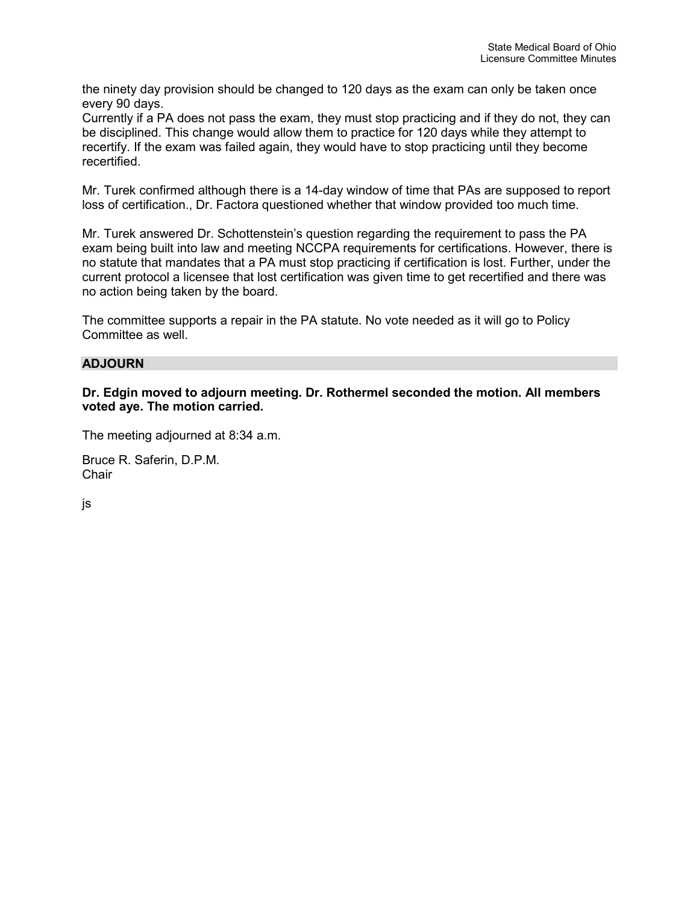the ninety day provision should be changed to 120 days as the exam can only be taken once every 90 days.

Currently if a PA does not pass the exam, they must stop practicing and if they do not, they can be disciplined. This change would allow them to practice for 120 days while they attempt to recertify. If the exam was failed again, they would have to stop practicing until they become recertified.

Mr. Turek confirmed although there is a 14-day window of time that PAs are supposed to report loss of certification., Dr. Factora questioned whether that window provided too much time.

Mr. Turek answered Dr. Schottenstein's question regarding the requirement to pass the PA exam being built into law and meeting NCCPA requirements for certifications. However, there is no statute that mandates that a PA must stop practicing if certification is lost. Further, under the current protocol a licensee that lost certification was given time to get recertified and there was no action being taken by the board.

The committee supports a repair in the PA statute. No vote needed as it will go to Policy Committee as well.

## **ADJOURN**

**Dr. Edgin moved to adjourn meeting. Dr. Rothermel seconded the motion. All members voted aye. The motion carried.**

The meeting adjourned at 8:34 a.m.

Bruce R. Saferin, D.P.M. **Chair** 

js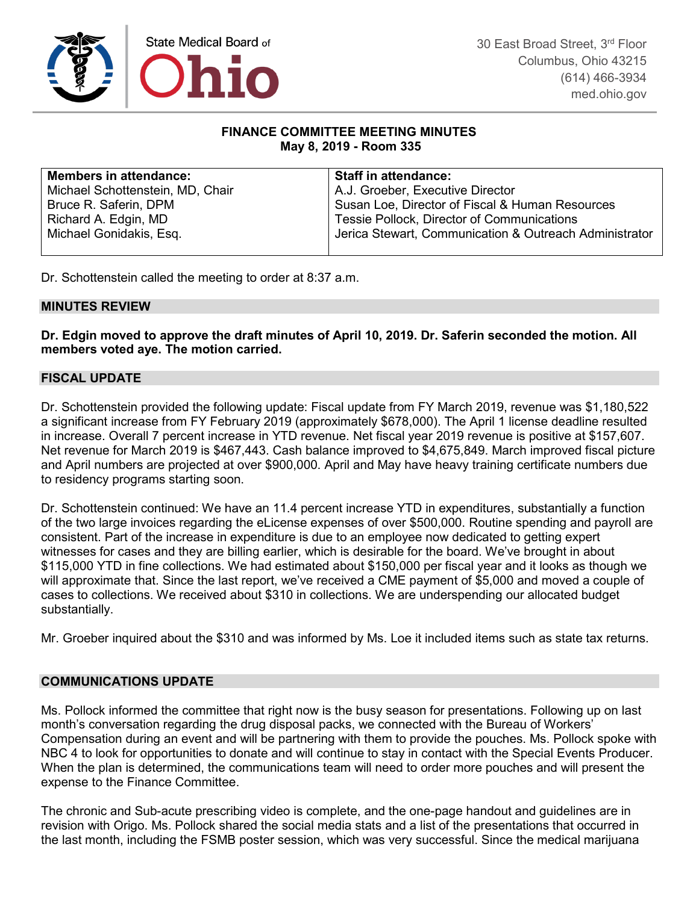

## **FINANCE COMMITTEE MEETING MINUTES May 8, 2019 - Room 335**

| <b>Members in attendance:</b>    | <b>Staff in attendance:</b>                            |
|----------------------------------|--------------------------------------------------------|
| Michael Schottenstein, MD, Chair | A.J. Groeber, Executive Director                       |
| Bruce R. Saferin, DPM            | Susan Loe, Director of Fiscal & Human Resources        |
| Richard A. Edgin, MD             | Tessie Pollock, Director of Communications             |
| Michael Gonidakis, Esq.          | Jerica Stewart, Communication & Outreach Administrator |
|                                  |                                                        |

Dr. Schottenstein called the meeting to order at 8:37 a.m.

## **MINUTES REVIEW**

**Dr. Edgin moved to approve the draft minutes of April 10, 2019. Dr. Saferin seconded the motion. All members voted aye. The motion carried.**

## **FISCAL UPDATE**

Dr. Schottenstein provided the following update: Fiscal update from FY March 2019, revenue was \$1,180,522 a significant increase from FY February 2019 (approximately \$678,000). The April 1 license deadline resulted in increase. Overall 7 percent increase in YTD revenue. Net fiscal year 2019 revenue is positive at \$157,607. Net revenue for March 2019 is \$467,443. Cash balance improved to \$4,675,849. March improved fiscal picture and April numbers are projected at over \$900,000. April and May have heavy training certificate numbers due to residency programs starting soon.

Dr. Schottenstein continued: We have an 11.4 percent increase YTD in expenditures, substantially a function of the two large invoices regarding the eLicense expenses of over \$500,000. Routine spending and payroll are consistent. Part of the increase in expenditure is due to an employee now dedicated to getting expert witnesses for cases and they are billing earlier, which is desirable for the board. We've brought in about \$115,000 YTD in fine collections. We had estimated about \$150,000 per fiscal year and it looks as though we will approximate that. Since the last report, we've received a CME payment of \$5,000 and moved a couple of cases to collections. We received about \$310 in collections. We are underspending our allocated budget substantially.

Mr. Groeber inquired about the \$310 and was informed by Ms. Loe it included items such as state tax returns.

#### **COMMUNICATIONS UPDATE**

Ms. Pollock informed the committee that right now is the busy season for presentations. Following up on last month's conversation regarding the drug disposal packs, we connected with the Bureau of Workers' Compensation during an event and will be partnering with them to provide the pouches. Ms. Pollock spoke with NBC 4 to look for opportunities to donate and will continue to stay in contact with the Special Events Producer. When the plan is determined, the communications team will need to order more pouches and will present the expense to the Finance Committee.

The chronic and Sub-acute prescribing video is complete, and the one-page handout and guidelines are in revision with Origo. Ms. Pollock shared the social media stats and a list of the presentations that occurred in the last month, including the FSMB poster session, which was very successful. Since the medical marijuana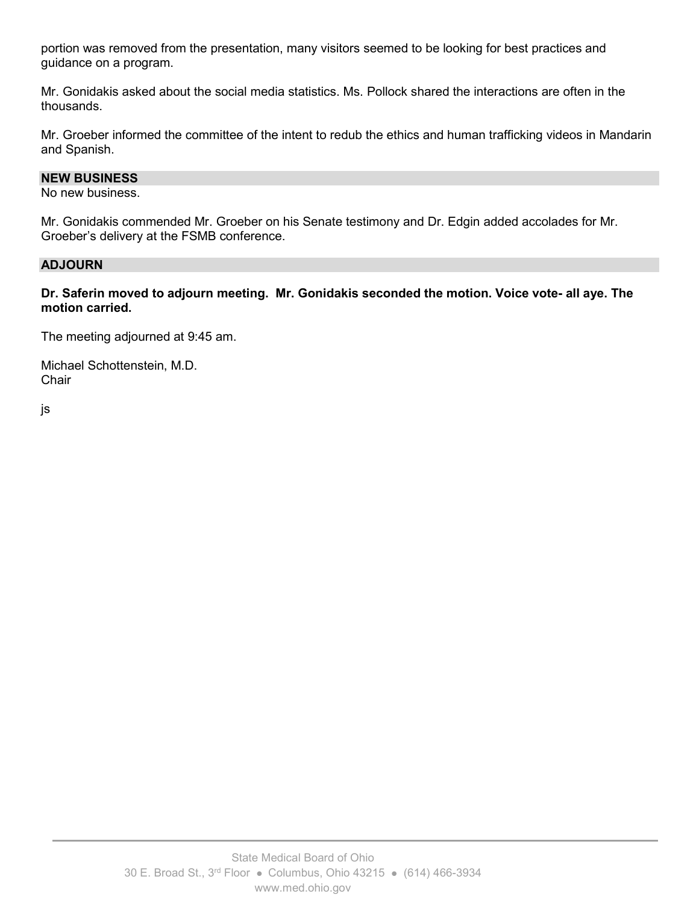portion was removed from the presentation, many visitors seemed to be looking for best practices and guidance on a program.

Mr. Gonidakis asked about the social media statistics. Ms. Pollock shared the interactions are often in the thousands.

Mr. Groeber informed the committee of the intent to redub the ethics and human trafficking videos in Mandarin and Spanish.

#### **NEW BUSINESS**

No new business.

Mr. Gonidakis commended Mr. Groeber on his Senate testimony and Dr. Edgin added accolades for Mr. Groeber's delivery at the FSMB conference.

#### **ADJOURN**

**Dr. Saferin moved to adjourn meeting. Mr. Gonidakis seconded the motion. Voice vote- all aye. The motion carried.**

The meeting adjourned at 9:45 am.

Michael Schottenstein, M.D. **Chair** 

js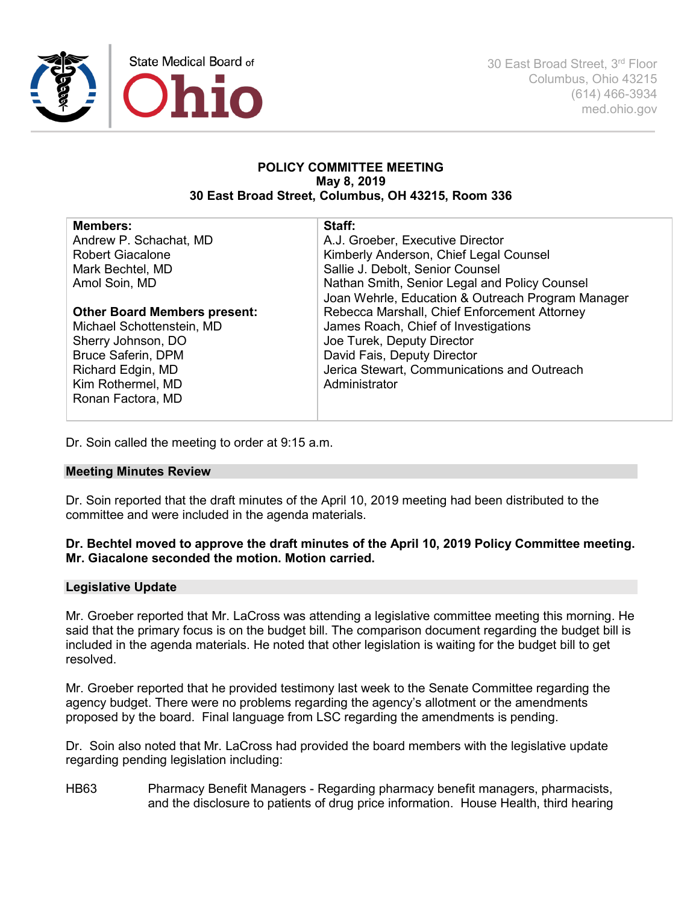

30 East Broad Street, 3rd Floor Columbus, Ohio 43215 (614) 466-3934 med.ohio.gov

#### **POLICY COMMITTEE MEETING May 8, 2019 30 East Broad Street, Columbus, OH 43215, Room 336**

| <b>Members:</b><br>Andrew P. Schachat, MD<br><b>Robert Giacalone</b> | Staff:<br>A.J. Groeber, Executive Director<br>Kimberly Anderson, Chief Legal Counsel               |
|----------------------------------------------------------------------|----------------------------------------------------------------------------------------------------|
| Mark Bechtel, MD                                                     | Sallie J. Debolt, Senior Counsel                                                                   |
| Amol Soin, MD                                                        | Nathan Smith, Senior Legal and Policy Counsel<br>Joan Wehrle, Education & Outreach Program Manager |
| <b>Other Board Members present:</b>                                  | Rebecca Marshall, Chief Enforcement Attorney                                                       |
| Michael Schottenstein, MD                                            | James Roach, Chief of Investigations                                                               |
| Sherry Johnson, DO                                                   | Joe Turek, Deputy Director                                                                         |
| <b>Bruce Saferin, DPM</b>                                            | David Fais, Deputy Director                                                                        |
| Richard Edgin, MD                                                    | Jerica Stewart, Communications and Outreach                                                        |
| Kim Rothermel, MD                                                    | Administrator                                                                                      |
| Ronan Factora, MD                                                    |                                                                                                    |

Dr. Soin called the meeting to order at 9:15 a.m.

#### **Meeting Minutes Review**

Dr. Soin reported that the draft minutes of the April 10, 2019 meeting had been distributed to the committee and were included in the agenda materials.

## **Dr. Bechtel moved to approve the draft minutes of the April 10, 2019 Policy Committee meeting. Mr. Giacalone seconded the motion. Motion carried.**

#### **Legislative Update**

Mr. Groeber reported that Mr. LaCross was attending a legislative committee meeting this morning. He said that the primary focus is on the budget bill. The comparison document regarding the budget bill is included in the agenda materials. He noted that other legislation is waiting for the budget bill to get resolved.

Mr. Groeber reported that he provided testimony last week to the Senate Committee regarding the agency budget. There were no problems regarding the agency's allotment or the amendments proposed by the board. Final language from LSC regarding the amendments is pending.

Dr. Soin also noted that Mr. LaCross had provided the board members with the legislative update regarding pending legislation including:

HB63 Pharmacy Benefit Managers - Regarding pharmacy benefit managers, pharmacists, and the disclosure to patients of drug price information. House Health, third hearing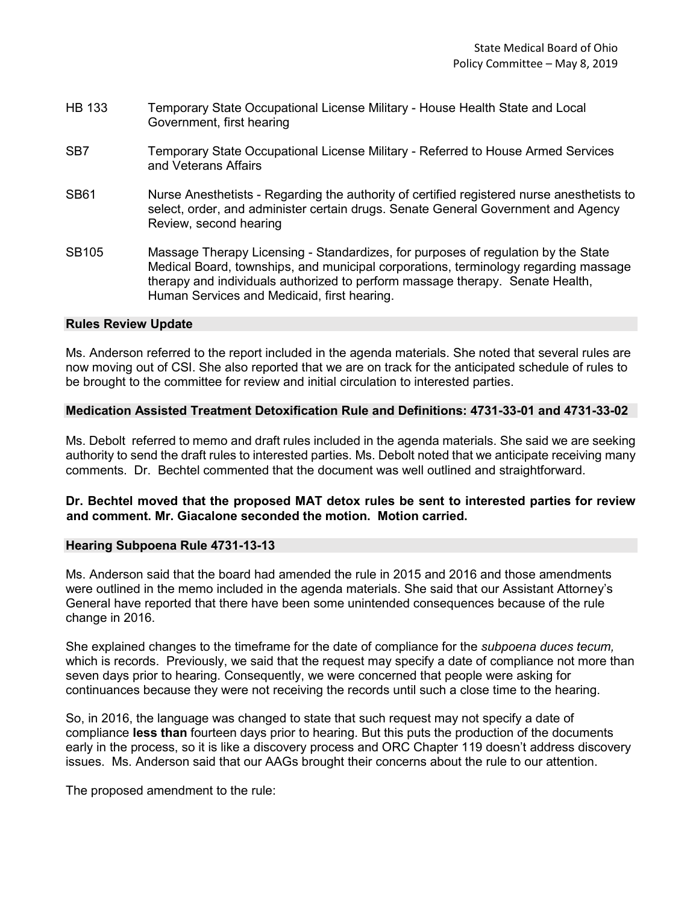| <b>HB 133</b> | Temporary State Occupational License Military - House Health State and Local |
|---------------|------------------------------------------------------------------------------|
|               | Government, first hearing                                                    |

- SB7 Temporary State Occupational License Military Referred to House Armed Services and Veterans Affairs
- SB61 Nurse Anesthetists Regarding the authority of certified registered nurse anesthetists to select, order, and administer certain drugs. Senate General Government and Agency Review, second hearing
- SB105 Massage Therapy Licensing Standardizes, for purposes of regulation by the State Medical Board, townships, and municipal corporations, terminology regarding massage therapy and individuals authorized to perform massage therapy. Senate Health, Human Services and Medicaid, first hearing.

#### **Rules Review Update**

Ms. Anderson referred to the report included in the agenda materials. She noted that several rules are now moving out of CSI. She also reported that we are on track for the anticipated schedule of rules to be brought to the committee for review and initial circulation to interested parties.

#### **Medication Assisted Treatment Detoxification Rule and Definitions: 4731-33-01 and 4731-33-02**

Ms. Debolt referred to memo and draft rules included in the agenda materials. She said we are seeking authority to send the draft rules to interested parties. Ms. Debolt noted that we anticipate receiving many comments. Dr. Bechtel commented that the document was well outlined and straightforward.

## **Dr. Bechtel moved that the proposed MAT detox rules be sent to interested parties for review and comment. Mr. Giacalone seconded the motion. Motion carried.**

#### **Hearing Subpoena Rule 4731-13-13**

Ms. Anderson said that the board had amended the rule in 2015 and 2016 and those amendments were outlined in the memo included in the agenda materials. She said that our Assistant Attorney's General have reported that there have been some unintended consequences because of the rule change in 2016.

She explained changes to the timeframe for the date of compliance for the *subpoena duces tecum,* which is records. Previously, we said that the request may specify a date of compliance not more than seven days prior to hearing. Consequently, we were concerned that people were asking for continuances because they were not receiving the records until such a close time to the hearing.

So, in 2016, the language was changed to state that such request may not specify a date of compliance **less than** fourteen days prior to hearing. But this puts the production of the documents early in the process, so it is like a discovery process and ORC Chapter 119 doesn't address discovery issues. Ms. Anderson said that our AAGs brought their concerns about the rule to our attention.

The proposed amendment to the rule: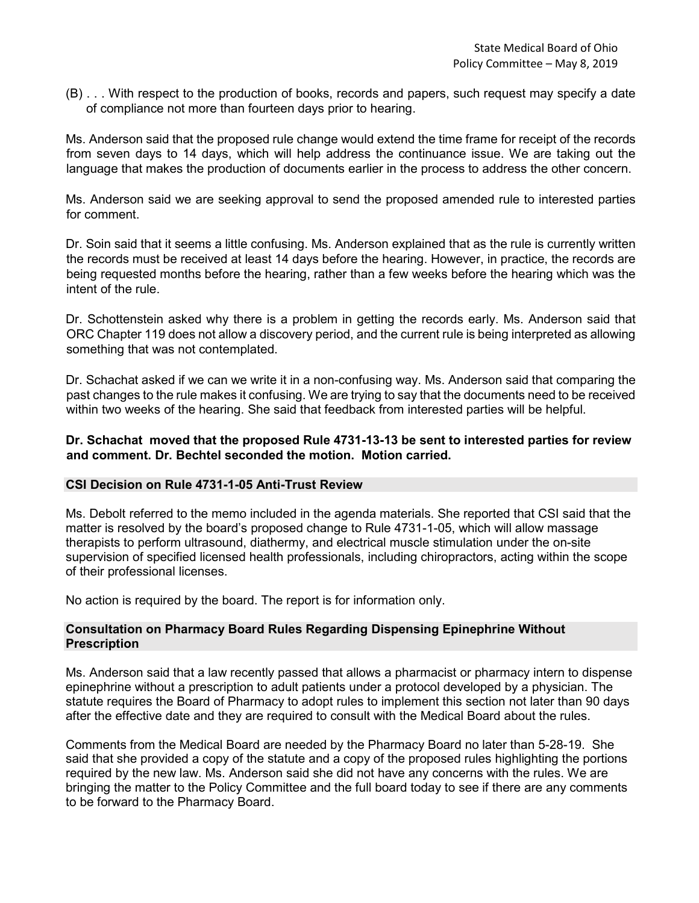(B) . . . With respect to the production of books, records and papers, such request may specify a date of compliance not more than fourteen days prior to hearing.

Ms. Anderson said that the proposed rule change would extend the time frame for receipt of the records from seven days to 14 days, which will help address the continuance issue. We are taking out the language that makes the production of documents earlier in the process to address the other concern.

Ms. Anderson said we are seeking approval to send the proposed amended rule to interested parties for comment.

Dr. Soin said that it seems a little confusing. Ms. Anderson explained that as the rule is currently written the records must be received at least 14 days before the hearing. However, in practice, the records are being requested months before the hearing, rather than a few weeks before the hearing which was the intent of the rule.

Dr. Schottenstein asked why there is a problem in getting the records early. Ms. Anderson said that ORC Chapter 119 does not allow a discovery period, and the current rule is being interpreted as allowing something that was not contemplated.

Dr. Schachat asked if we can we write it in a non-confusing way. Ms. Anderson said that comparing the past changes to the rule makes it confusing. We are trying to say that the documents need to be received within two weeks of the hearing. She said that feedback from interested parties will be helpful.

### **Dr. Schachat moved that the proposed Rule 4731-13-13 be sent to interested parties for review and comment. Dr. Bechtel seconded the motion. Motion carried.**

## **CSI Decision on Rule 4731-1-05 Anti-Trust Review**

Ms. Debolt referred to the memo included in the agenda materials. She reported that CSI said that the matter is resolved by the board's proposed change to Rule 4731-1-05, which will allow massage therapists to perform ultrasound, diathermy, and electrical muscle stimulation under the on-site supervision of specified licensed health professionals, including chiropractors, acting within the scope of their professional licenses.

No action is required by the board. The report is for information only.

#### **Consultation on Pharmacy Board Rules Regarding Dispensing Epinephrine Without Prescription**

Ms. Anderson said that a law recently passed that allows a pharmacist or pharmacy intern to dispense epinephrine without a prescription to adult patients under a protocol developed by a physician. The statute requires the Board of Pharmacy to adopt rules to implement this section not later than 90 days after the effective date and they are required to consult with the Medical Board about the rules.

Comments from the Medical Board are needed by the Pharmacy Board no later than 5-28-19. She said that she provided a copy of the statute and a copy of the proposed rules highlighting the portions required by the new law. Ms. Anderson said she did not have any concerns with the rules. We are bringing the matter to the Policy Committee and the full board today to see if there are any comments to be forward to the Pharmacy Board.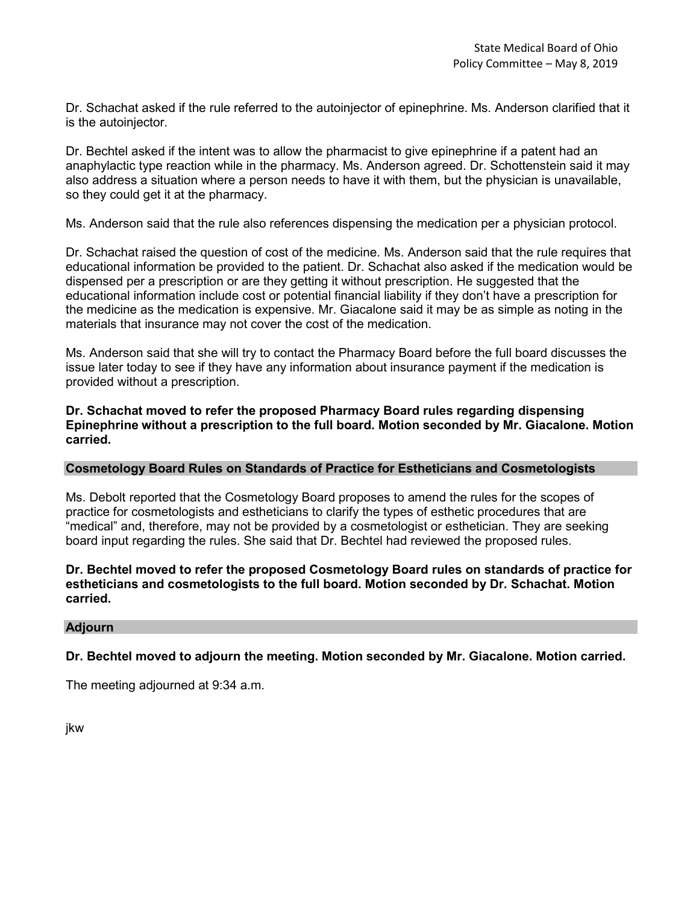Dr. Schachat asked if the rule referred to the autoinjector of epinephrine. Ms. Anderson clarified that it is the autoinjector.

Dr. Bechtel asked if the intent was to allow the pharmacist to give epinephrine if a patent had an anaphylactic type reaction while in the pharmacy. Ms. Anderson agreed. Dr. Schottenstein said it may also address a situation where a person needs to have it with them, but the physician is unavailable, so they could get it at the pharmacy.

Ms. Anderson said that the rule also references dispensing the medication per a physician protocol.

Dr. Schachat raised the question of cost of the medicine. Ms. Anderson said that the rule requires that educational information be provided to the patient. Dr. Schachat also asked if the medication would be dispensed per a prescription or are they getting it without prescription. He suggested that the educational information include cost or potential financial liability if they don't have a prescription for the medicine as the medication is expensive. Mr. Giacalone said it may be as simple as noting in the materials that insurance may not cover the cost of the medication.

Ms. Anderson said that she will try to contact the Pharmacy Board before the full board discusses the issue later today to see if they have any information about insurance payment if the medication is provided without a prescription.

**Dr. Schachat moved to refer the proposed Pharmacy Board rules regarding dispensing Epinephrine without a prescription to the full board. Motion seconded by Mr. Giacalone. Motion carried.** 

#### **Cosmetology Board Rules on Standards of Practice for Estheticians and Cosmetologists**

Ms. Debolt reported that the Cosmetology Board proposes to amend the rules for the scopes of practice for cosmetologists and estheticians to clarify the types of esthetic procedures that are "medical" and, therefore, may not be provided by a cosmetologist or esthetician. They are seeking board input regarding the rules. She said that Dr. Bechtel had reviewed the proposed rules.

## **Dr. Bechtel moved to refer the proposed Cosmetology Board rules on standards of practice for estheticians and cosmetologists to the full board. Motion seconded by Dr. Schachat. Motion carried.**

#### **Adjourn**

**Dr. Bechtel moved to adjourn the meeting. Motion seconded by Mr. Giacalone. Motion carried.** 

The meeting adjourned at 9:34 a.m.

jkw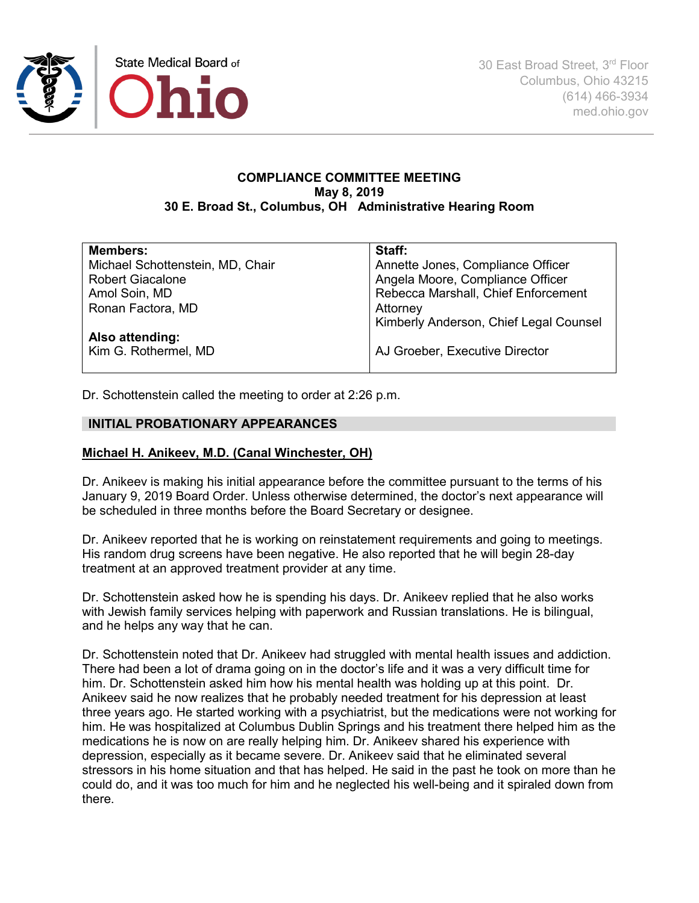

30 East Broad Street, 3rd Floor Columbus, Ohio 43215 (614) 466-3934 med.ohio.gov

## **COMPLIANCE COMMITTEE MEETING May 8, 2019 30 E. Broad St., Columbus, OH Administrative Hearing Room**

| <b>Members:</b>                  | Staff:                                 |
|----------------------------------|----------------------------------------|
| Michael Schottenstein, MD, Chair | Annette Jones, Compliance Officer      |
| <b>Robert Giacalone</b>          | Angela Moore, Compliance Officer       |
| Amol Soin, MD                    | Rebecca Marshall, Chief Enforcement    |
| Ronan Factora, MD                | Attorney                               |
|                                  | Kimberly Anderson, Chief Legal Counsel |
| Also attending:                  |                                        |
| Kim G. Rothermel, MD             | AJ Groeber, Executive Director         |
|                                  |                                        |

Dr. Schottenstein called the meeting to order at 2:26 p.m.

## **INITIAL PROBATIONARY APPEARANCES**

### **Michael H. Anikeev, M.D. (Canal Winchester, OH)**

Dr. Anikeev is making his initial appearance before the committee pursuant to the terms of his January 9, 2019 Board Order. Unless otherwise determined, the doctor's next appearance will be scheduled in three months before the Board Secretary or designee.

Dr. Anikeev reported that he is working on reinstatement requirements and going to meetings. His random drug screens have been negative. He also reported that he will begin 28-day treatment at an approved treatment provider at any time.

Dr. Schottenstein asked how he is spending his days. Dr. Anikeev replied that he also works with Jewish family services helping with paperwork and Russian translations. He is bilingual, and he helps any way that he can.

Dr. Schottenstein noted that Dr. Anikeev had struggled with mental health issues and addiction. There had been a lot of drama going on in the doctor's life and it was a very difficult time for him. Dr. Schottenstein asked him how his mental health was holding up at this point. Dr. Anikeev said he now realizes that he probably needed treatment for his depression at least three years ago. He started working with a psychiatrist, but the medications were not working for him. He was hospitalized at Columbus Dublin Springs and his treatment there helped him as the medications he is now on are really helping him. Dr. Anikeev shared his experience with depression, especially as it became severe. Dr. Anikeev said that he eliminated several stressors in his home situation and that has helped. He said in the past he took on more than he could do, and it was too much for him and he neglected his well-being and it spiraled down from there.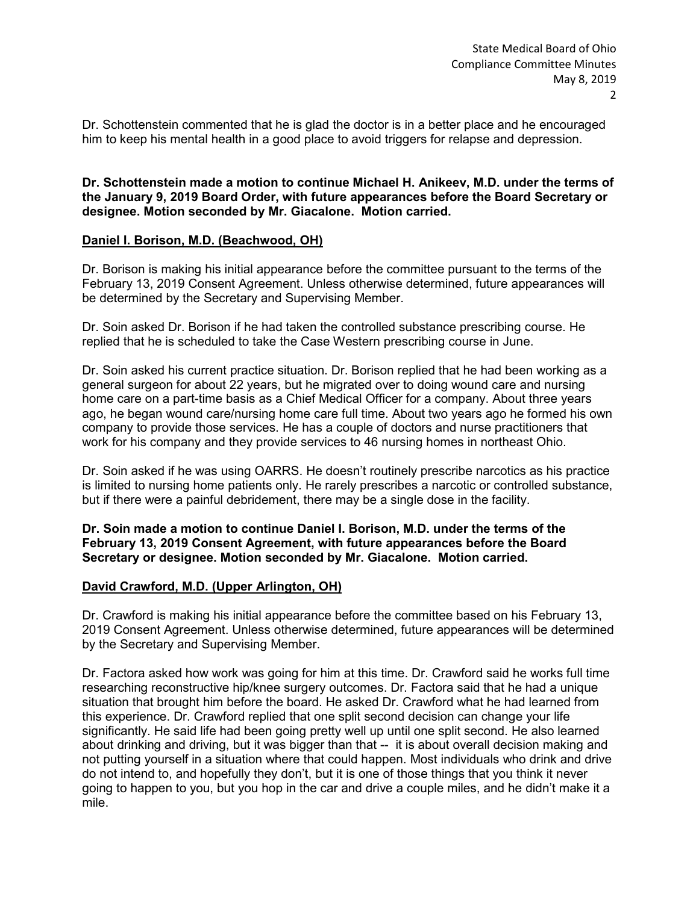Dr. Schottenstein commented that he is glad the doctor is in a better place and he encouraged him to keep his mental health in a good place to avoid triggers for relapse and depression.

**Dr. Schottenstein made a motion to continue Michael H. Anikeev, M.D. under the terms of the January 9, 2019 Board Order, with future appearances before the Board Secretary or designee. Motion seconded by Mr. Giacalone. Motion carried.** 

## **Daniel I. Borison, M.D. (Beachwood, OH)**

Dr. Borison is making his initial appearance before the committee pursuant to the terms of the February 13, 2019 Consent Agreement. Unless otherwise determined, future appearances will be determined by the Secretary and Supervising Member.

Dr. Soin asked Dr. Borison if he had taken the controlled substance prescribing course. He replied that he is scheduled to take the Case Western prescribing course in June.

Dr. Soin asked his current practice situation. Dr. Borison replied that he had been working as a general surgeon for about 22 years, but he migrated over to doing wound care and nursing home care on a part-time basis as a Chief Medical Officer for a company. About three years ago, he began wound care/nursing home care full time. About two years ago he formed his own company to provide those services. He has a couple of doctors and nurse practitioners that work for his company and they provide services to 46 nursing homes in northeast Ohio.

Dr. Soin asked if he was using OARRS. He doesn't routinely prescribe narcotics as his practice is limited to nursing home patients only. He rarely prescribes a narcotic or controlled substance, but if there were a painful debridement, there may be a single dose in the facility.

### **Dr. Soin made a motion to continue Daniel I. Borison, M.D. under the terms of the February 13, 2019 Consent Agreement, with future appearances before the Board Secretary or designee. Motion seconded by Mr. Giacalone. Motion carried.**

#### **David Crawford, M.D. (Upper Arlington, OH)**

Dr. Crawford is making his initial appearance before the committee based on his February 13, 2019 Consent Agreement. Unless otherwise determined, future appearances will be determined by the Secretary and Supervising Member.

Dr. Factora asked how work was going for him at this time. Dr. Crawford said he works full time researching reconstructive hip/knee surgery outcomes. Dr. Factora said that he had a unique situation that brought him before the board. He asked Dr. Crawford what he had learned from this experience. Dr. Crawford replied that one split second decision can change your life significantly. He said life had been going pretty well up until one split second. He also learned about drinking and driving, but it was bigger than that -- it is about overall decision making and not putting yourself in a situation where that could happen. Most individuals who drink and drive do not intend to, and hopefully they don't, but it is one of those things that you think it never going to happen to you, but you hop in the car and drive a couple miles, and he didn't make it a mile.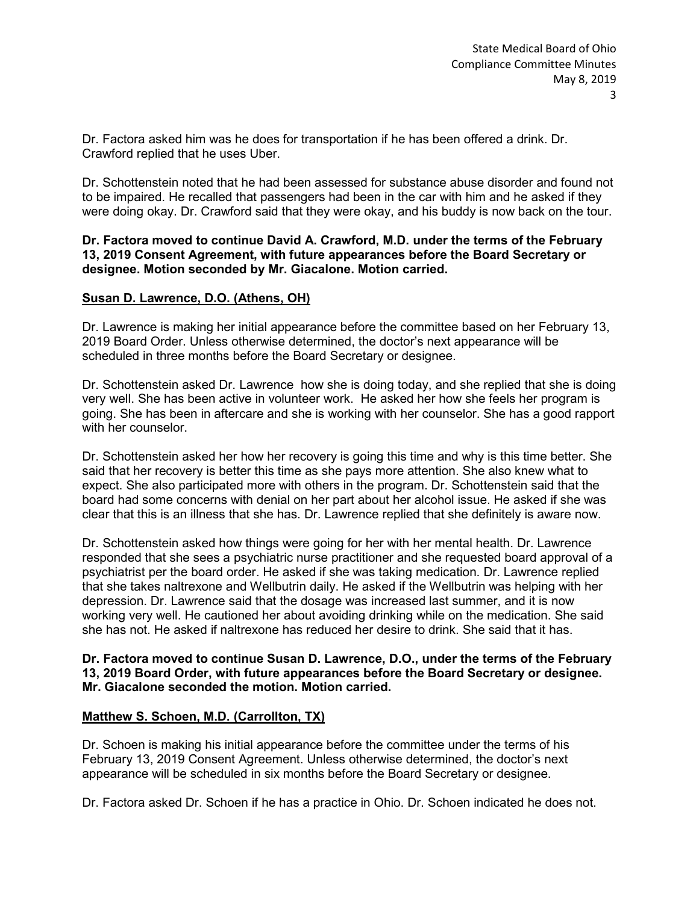Dr. Factora asked him was he does for transportation if he has been offered a drink. Dr. Crawford replied that he uses Uber.

Dr. Schottenstein noted that he had been assessed for substance abuse disorder and found not to be impaired. He recalled that passengers had been in the car with him and he asked if they were doing okay. Dr. Crawford said that they were okay, and his buddy is now back on the tour.

## **Dr. Factora moved to continue David A. Crawford, M.D. under the terms of the February 13, 2019 Consent Agreement, with future appearances before the Board Secretary or designee. Motion seconded by Mr. Giacalone. Motion carried.**

## **Susan D. Lawrence, D.O. (Athens, OH)**

Dr. Lawrence is making her initial appearance before the committee based on her February 13, 2019 Board Order. Unless otherwise determined, the doctor's next appearance will be scheduled in three months before the Board Secretary or designee.

Dr. Schottenstein asked Dr. Lawrence how she is doing today, and she replied that she is doing very well. She has been active in volunteer work. He asked her how she feels her program is going. She has been in aftercare and she is working with her counselor. She has a good rapport with her counselor.

Dr. Schottenstein asked her how her recovery is going this time and why is this time better. She said that her recovery is better this time as she pays more attention. She also knew what to expect. She also participated more with others in the program. Dr. Schottenstein said that the board had some concerns with denial on her part about her alcohol issue. He asked if she was clear that this is an illness that she has. Dr. Lawrence replied that she definitely is aware now.

Dr. Schottenstein asked how things were going for her with her mental health. Dr. Lawrence responded that she sees a psychiatric nurse practitioner and she requested board approval of a psychiatrist per the board order. He asked if she was taking medication. Dr. Lawrence replied that she takes naltrexone and Wellbutrin daily. He asked if the Wellbutrin was helping with her depression. Dr. Lawrence said that the dosage was increased last summer, and it is now working very well. He cautioned her about avoiding drinking while on the medication. She said she has not. He asked if naltrexone has reduced her desire to drink. She said that it has.

### **Dr. Factora moved to continue Susan D. Lawrence, D.O., under the terms of the February 13, 2019 Board Order, with future appearances before the Board Secretary or designee. Mr. Giacalone seconded the motion. Motion carried.**

## **Matthew S. Schoen, M.D. (Carrollton, TX)**

Dr. Schoen is making his initial appearance before the committee under the terms of his February 13, 2019 Consent Agreement. Unless otherwise determined, the doctor's next appearance will be scheduled in six months before the Board Secretary or designee.

Dr. Factora asked Dr. Schoen if he has a practice in Ohio. Dr. Schoen indicated he does not.